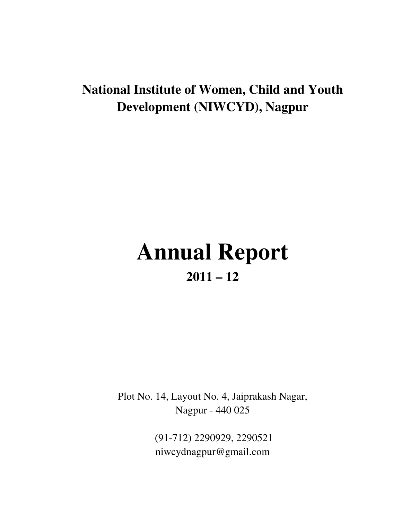# **National Institute of Women, Child and Youth Development (NIWCYD), Nagpur**

# **Annual Report 2011 – 12**

Plot No. 14, Layout No. 4, Jaiprakash Nagar, Nagpur - 440 025

> (91-712) 2290929, 2290521 niwcydnagpur@gmail.com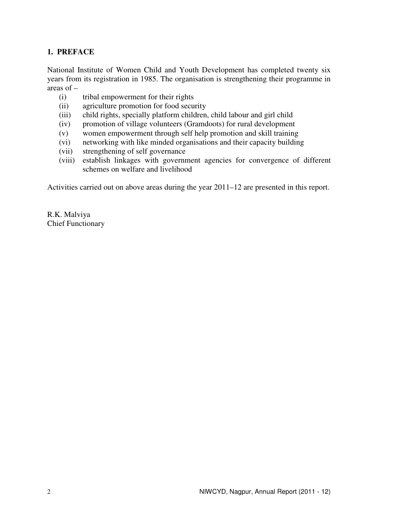# **1. PREFACE**

National Institute of Women Child and Youth Development has completed twenty six years from its registration in 1985. The organisation is strengthening their programme in areas of –

- (i) tribal empowerment for their rights
- (ii) agriculture promotion for food security
- (iii) child rights, specially platform children, child labour and girl child
- (iv) promotion of village volunteers (Gramdoots) for rural development
- (v) women empowerment through self help promotion and skill training
- (vi) networking with like minded organisations and their capacity building
- (vii) strengthening of self governance
- (viii) establish linkages with government agencies for convergence of different schemes on welfare and livelihood

Activities carried out on above areas during the year 2011–12 are presented in this report.

R.K. Malviya Chief Functionary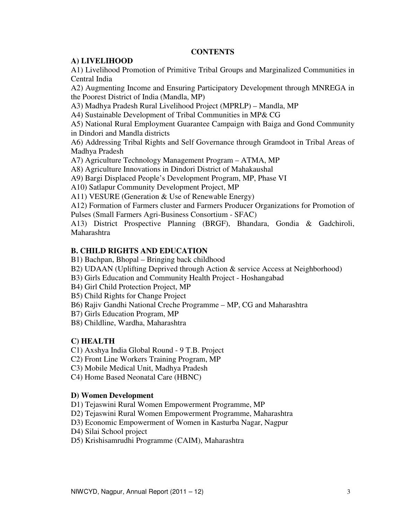#### **CONTENTS**

#### **A) LIVELIHOOD**

A1) Livelihood Promotion of Primitive Tribal Groups and Marginalized Communities in Central India

A2) Augmenting Income and Ensuring Participatory Development through MNREGA in the Poorest District of India (Mandla, MP)

A3) Madhya Pradesh Rural Livelihood Project (MPRLP) – Mandla, MP

A4) Sustainable Development of Tribal Communities in MP& CG

A5) National Rural Employment Guarantee Campaign with Baiga and Gond Community in Dindori and Mandla districts

A6) Addressing Tribal Rights and Self Governance through Gramdoot in Tribal Areas of Madhya Pradesh

A7) Agriculture Technology Management Program – ATMA, MP

A8) Agriculture Innovations in Dindori District of Mahakaushal

A9) Bargi Displaced People's Development Program, MP, Phase VI

A10) Satlapur Community Development Project, MP

A11) VESURE (Generation & Use of Renewable Energy)

A12) Formation of Farmers cluster and Farmers Producer Organizations for Promotion of Pulses (Small Farmers Agri-Business Consortium - SFAC)

A13) District Prospective Planning (BRGF), Bhandara, Gondia & Gadchiroli, Maharashtra

#### **B. CHILD RIGHTS AND EDUCATION**

B1) Bachpan, Bhopal – Bringing back childhood

- B2) UDAAN (Uplifting Deprived through Action & service Access at Neighborhood)
- B3) Girls Education and Community Health Project Hoshangabad
- B4) Girl Child Protection Project, MP
- B5) Child Rights for Change Project
- B6) Rajiv Gandhi National Creche Programme MP, CG and Maharashtra
- B7) Girls Education Program, MP
- B8) Childline, Wardha, Maharashtra

# **C) HEALTH**

C1) Axshya India Global Round - 9 T.B. Project

C2) Front Line Workers Training Program, MP

C3) Mobile Medical Unit, Madhya Pradesh

C4) Home Based Neonatal Care (HBNC)

#### **D) Women Development**

D1) Tejaswini Rural Women Empowerment Programme, MP

D2) Tejaswini Rural Women Empowerment Programme, Maharashtra

D3) Economic Empowerment of Women in Kasturba Nagar, Nagpur

D4) Silai School project

D5) Krishisamrudhi Programme (CAIM), Maharashtra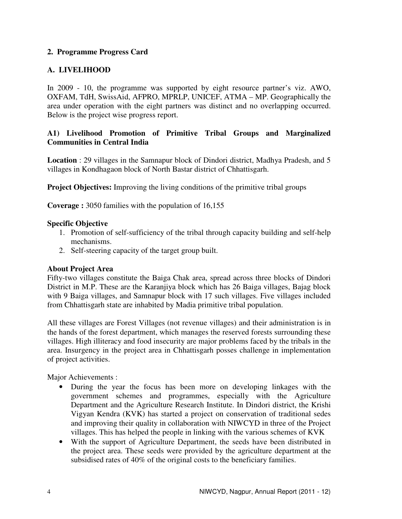# **2. Programme Progress Card**

# **A. LIVELIHOOD**

In 2009 - 10, the programme was supported by eight resource partner's viz. AWO, OXFAM, TdH, SwissAid, AFPRO, MPRLP, UNICEF, ATMA – MP. Geographically the area under operation with the eight partners was distinct and no overlapping occurred. Below is the project wise progress report.

# **A1) Livelihood Promotion of Primitive Tribal Groups and Marginalized Communities in Central India**

**Location** : 29 villages in the Samnapur block of Dindori district, Madhya Pradesh, and 5 villages in Kondhagaon block of North Bastar district of Chhattisgarh.

**Project Objectives:** Improving the living conditions of the primitive tribal groups

**Coverage :** 3050 families with the population of 16,155

#### **Specific Objective**

- 1. Promotion of self-sufficiency of the tribal through capacity building and self-help mechanisms.
- 2. Self-steering capacity of the target group built.

#### **About Project Area**

Fifty-two villages constitute the Baiga Chak area, spread across three blocks of Dindori District in M.P. These are the Karanjiya block which has 26 Baiga villages, Bajag block with 9 Baiga villages, and Samnapur block with 17 such villages. Five villages included from Chhattisgarh state are inhabited by Madia primitive tribal population.

All these villages are Forest Villages (not revenue villages) and their administration is in the hands of the forest department, which manages the reserved forests surrounding these villages. High illiteracy and food insecurity are major problems faced by the tribals in the area. Insurgency in the project area in Chhattisgarh posses challenge in implementation of project activities.

Major Achievements :

- During the year the focus has been more on developing linkages with the government schemes and programmes, especially with the Agriculture Department and the Agriculture Research Institute. In Dindori district, the Krishi Vigyan Kendra (KVK) has started a project on conservation of traditional sedes and improving their quality in collaboration with NIWCYD in three of the Project villages. This has helped the people in linking with the various schemes of KVK
- With the support of Agriculture Department, the seeds have been distributed in the project area. These seeds were provided by the agriculture department at the subsidised rates of 40% of the original costs to the beneficiary families.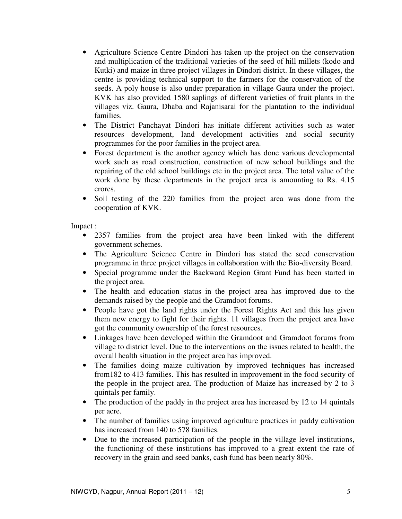- Agriculture Science Centre Dindori has taken up the project on the conservation and multiplication of the traditional varieties of the seed of hill millets (kodo and Kutki) and maize in three project villages in Dindori district. In these villages, the centre is providing technical support to the farmers for the conservation of the seeds. A poly house is also under preparation in village Gaura under the project. KVK has also provided 1580 saplings of different varieties of fruit plants in the villages viz. Gaura, Dhaba and Rajanisarai for the plantation to the individual families.
- The District Panchayat Dindori has initiate different activities such as water resources development, land development activities and social security programmes for the poor families in the project area.
- Forest department is the another agency which has done various developmental work such as road construction, construction of new school buildings and the repairing of the old school buildings etc in the project area. The total value of the work done by these departments in the project area is amounting to Rs. 4.15 crores.
- Soil testing of the 220 families from the project area was done from the cooperation of KVK.

Impact :

- 2357 families from the project area have been linked with the different government schemes.
- The Agriculture Science Centre in Dindori has stated the seed conservation programme in three project villages in collaboration with the Bio-diversity Board.
- Special programme under the Backward Region Grant Fund has been started in the project area.
- The health and education status in the project area has improved due to the demands raised by the people and the Gramdoot forums.
- People have got the land rights under the Forest Rights Act and this has given them new energy to fight for their rights. 11 villages from the project area have got the community ownership of the forest resources.
- Linkages have been developed within the Gramdoot and Gramdoot forums from village to district level. Due to the interventions on the issues related to health, the overall health situation in the project area has improved.
- The families doing maize cultivation by improved techniques has increased from182 to 413 families. This has resulted in improvement in the food security of the people in the project area. The production of Maize has increased by 2 to 3 quintals per family.
- The production of the paddy in the project area has increased by 12 to 14 quintals per acre.
- The number of families using improved agriculture practices in paddy cultivation has increased from 140 to 578 families.
- Due to the increased participation of the people in the village level institutions, the functioning of these institutions has improved to a great extent the rate of recovery in the grain and seed banks, cash fund has been nearly 80%.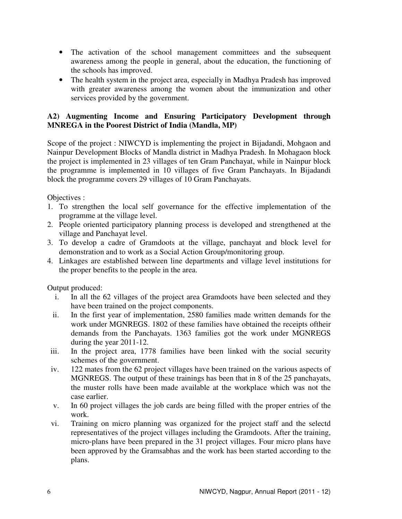- The activation of the school management committees and the subsequent awareness among the people in general, about the education, the functioning of the schools has improved.
- The health system in the project area, especially in Madhya Pradesh has improved with greater awareness among the women about the immunization and other services provided by the government.

# **A2) Augmenting Income and Ensuring Participatory Development through MNREGA in the Poorest District of India (Mandla, MP)**

Scope of the project : NIWCYD is implementing the project in Bijadandi, Mohgaon and Nainpur Development Blocks of Mandla district in Madhya Pradesh. In Mohagaon block the project is implemented in 23 villages of ten Gram Panchayat, while in Nainpur block the programme is implemented in 10 villages of five Gram Panchayats. In Bijadandi block the programme covers 29 villages of 10 Gram Panchayats.

Objectives :

- 1. To strengthen the local self governance for the effective implementation of the programme at the village level.
- 2. People oriented participatory planning process is developed and strengthened at the village and Panchayat level.
- 3. To develop a cadre of Gramdoots at the village, panchayat and block level for demonstration and to work as a Social Action Group/monitoring group.
- 4. Linkages are established between line departments and village level institutions for the proper benefits to the people in the area.

Output produced:

- i. In all the 62 villages of the project area Gramdoots have been selected and they have been trained on the project components.
- ii. In the first year of implementation, 2580 families made written demands for the work under MGNREGS. 1802 of these families have obtained the receipts oftheir demands from the Panchayats. 1363 families got the work under MGNREGS during the year 2011-12.
- iii. In the project area, 1778 families have been linked with the social security schemes of the government.
- iv. 122 mates from the 62 project villages have been trained on the various aspects of MGNREGS. The output of these trainings has been that in 8 of the 25 panchayats, the muster rolls have been made available at the workplace which was not the case earlier.
- v. In 60 project villages the job cards are being filled with the proper entries of the work.
- vi. Training on micro planning was organized for the project staff and the selectd representatives of the project villages including the Gramdoots. After the training, micro-plans have been prepared in the 31 project villages. Four micro plans have been approved by the Gramsabhas and the work has been started according to the plans.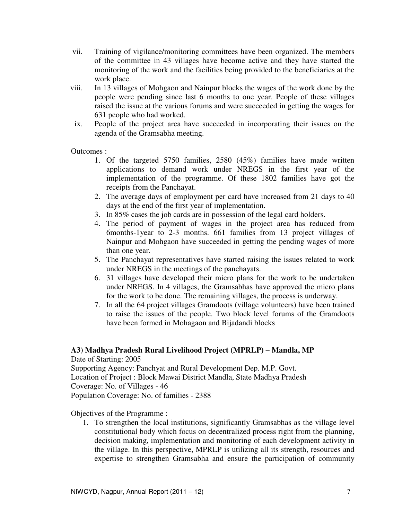- vii. Training of vigilance/monitoring committees have been organized. The members of the committee in 43 villages have become active and they have started the monitoring of the work and the facilities being provided to the beneficiaries at the work place.
- viii. In 13 villages of Mohgaon and Nainpur blocks the wages of the work done by the people were pending since last 6 months to one year. People of these villages raised the issue at the various forums and were succeeded in getting the wages for 631 people who had worked.
- ix. People of the project area have succeeded in incorporating their issues on the agenda of the Gramsabha meeting.

Outcomes :

- 1. Of the targeted 5750 families, 2580 (45%) families have made written applications to demand work under NREGS in the first year of the implementation of the programme. Of these 1802 families have got the receipts from the Panchayat.
- 2. The average days of employment per card have increased from 21 days to 40 days at the end of the first year of implementation.
- 3. In 85% cases the job cards are in possession of the legal card holders.
- 4. The period of payment of wages in the project area has reduced from 6months-1year to 2-3 months. 661 families from 13 project villages of Nainpur and Mohgaon have succeeded in getting the pending wages of more than one year.
- 5. The Panchayat representatives have started raising the issues related to work under NREGS in the meetings of the panchayats.
- 6. 31 villages have developed their micro plans for the work to be undertaken under NREGS. In 4 villages, the Gramsabhas have approved the micro plans for the work to be done. The remaining villages, the process is underway.
- 7. In all the 64 project villages Gramdoots (village volunteers) have been trained to raise the issues of the people. Two block level forums of the Gramdoots have been formed in Mohagaon and Bijadandi blocks

#### **A3) Madhya Pradesh Rural Livelihood Project (MPRLP) – Mandla, MP**

Date of Starting: 2005 Supporting Agency: Panchyat and Rural Development Dep. M.P. Govt. Location of Project : Block Mawai District Mandla, State Madhya Pradesh Coverage: No. of Villages - 46 Population Coverage: No. of families - 2388

Objectives of the Programme :

1. To strengthen the local institutions, significantly Gramsabhas as the village level constitutional body which focus on decentralized process right from the planning, decision making, implementation and monitoring of each development activity in the village. In this perspective, MPRLP is utilizing all its strength, resources and expertise to strengthen Gramsabha and ensure the participation of community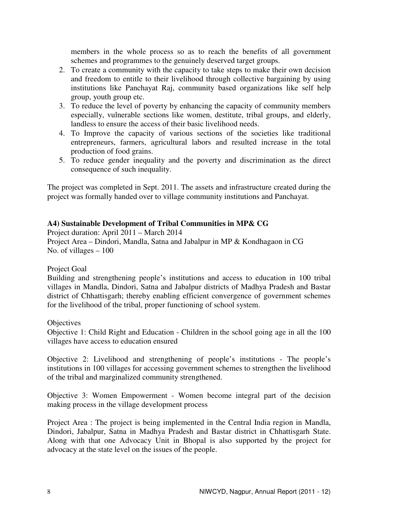members in the whole process so as to reach the benefits of all government schemes and programmes to the genuinely deserved target groups.

- 2. To create a community with the capacity to take steps to make their own decision and freedom to entitle to their livelihood through collective bargaining by using institutions like Panchayat Raj, community based organizations like self help group, youth group etc.
- 3. To reduce the level of poverty by enhancing the capacity of community members especially, vulnerable sections like women, destitute, tribal groups, and elderly, landless to ensure the access of their basic livelihood needs.
- 4. To Improve the capacity of various sections of the societies like traditional entrepreneurs, farmers, agricultural labors and resulted increase in the total production of food grains.
- 5. To reduce gender inequality and the poverty and discrimination as the direct consequence of such inequality.

The project was completed in Sept. 2011. The assets and infrastructure created during the project was formally handed over to village community institutions and Panchayat.

# **A4) Sustainable Development of Tribal Communities in MP& CG**

Project duration: April 2011 – March 2014 Project Area – Dindori, Mandla, Satna and Jabalpur in MP & Kondhagaon in CG No. of villages – 100

#### Project Goal

Building and strengthening people's institutions and access to education in 100 tribal villages in Mandla, Dindori, Satna and Jabalpur districts of Madhya Pradesh and Bastar district of Chhattisgarh; thereby enabling efficient convergence of government schemes for the livelihood of the tribal, proper functioning of school system.

#### **Objectives**

Objective 1: Child Right and Education - Children in the school going age in all the 100 villages have access to education ensured

Objective 2: Livelihood and strengthening of people's institutions - The people's institutions in 100 villages for accessing government schemes to strengthen the livelihood of the tribal and marginalized community strengthened.

Objective 3: Women Empowerment - Women become integral part of the decision making process in the village development process

Project Area : The project is being implemented in the Central India region in Mandla, Dindori, Jabalpur, Satna in Madhya Pradesh and Bastar district in Chhattisgarh State. Along with that one Advocacy Unit in Bhopal is also supported by the project for advocacy at the state level on the issues of the people.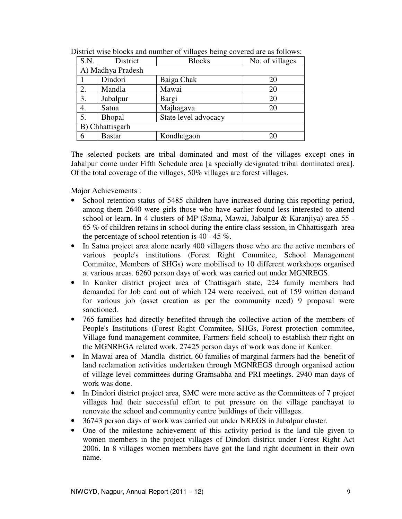| S.N.            | District          | <b>Blocks</b>        | No. of villages |  |
|-----------------|-------------------|----------------------|-----------------|--|
|                 | A) Madhya Pradesh |                      |                 |  |
|                 | Dindori           | Baiga Chak           | 20              |  |
| 2.              | Mandla            | Mawai                | 20              |  |
| 3.              | Jabalpur          | Bargi                | 20              |  |
| 4.              | Satna             | Majhagava            | 20              |  |
| 5.              | Bhopal            | State level advocacy |                 |  |
| B) Chhattisgarh |                   |                      |                 |  |
| 6               | <b>Bastar</b>     | Kondhagaon           | 20              |  |

District wise blocks and number of villages being covered are as follows:

The selected pockets are tribal dominated and most of the villages except ones in Jabalpur come under Fifth Schedule area [a specially designated tribal dominated area]. Of the total coverage of the villages, 50% villages are forest villages.

Major Achievements :

- School retention status of 5485 children have increased during this reporting period, among them 2640 were girls those who have earlier found less interested to attend school or learn. In 4 clusters of MP (Satna, Mawai, Jabalpur & Karanjiya) area 55 - 65 % of children retains in school during the entire class session, in Chhattisgarh area the percentage of school retention is 40 - 45 %.
- In Satna project area alone nearly 400 villagers those who are the active members of various people's institutions (Forest Right Commitee, School Management Commitee, Members of SHGs) were mobilised to 10 different workshops organised at various areas. 6260 person days of work was carried out under MGNREGS.
- In Kanker district project area of Chattisgarh state, 224 family members had demanded for Job card out of which 124 were received, out of 159 written demand for various job (asset creation as per the community need) 9 proposal were sanctioned.
- 765 families had directly benefited through the collective action of the members of People's Institutions (Forest Right Commitee, SHGs, Forest protection commitee, Village fund management commitee, Farmers field school) to establish their right on the MGNREGA related work. 27425 person days of work was done in Kanker.
- In Mawai area of Mandla district, 60 families of marginal farmers had the benefit of land reclamation activities undertaken through MGNREGS through organised action of village level committees during Gramsabha and PRI meetings. 2940 man days of work was done.
- In Dindori district project area, SMC were more active as the Committees of 7 project villages had their successful effort to put pressure on the village panchayat to renovate the school and community centre buildings of their villlages.
- 36743 person days of work was carried out under NREGS in Jabalpur cluster.
- One of the milestone achievement of this activity period is the land tile given to women members in the project villages of Dindori district under Forest Right Act 2006. In 8 villages women members have got the land right document in their own name.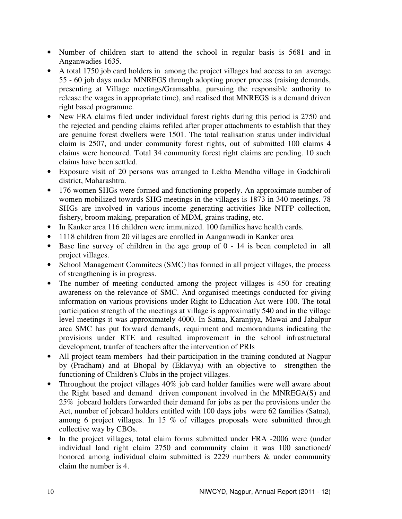- Number of children start to attend the school in regular basis is 5681 and in Anganwadies 1635.
- A total 1750 job card holders in among the project villages had access to an average 55 - 60 job days under MNREGS through adopting proper process (raising demands, presenting at Village meetings/Gramsabha, pursuing the responsible authority to release the wages in appropriate time), and realised that MNREGS is a demand driven right based programme.
- New FRA claims filed under individual forest rights during this period is 2750 and the rejected and pending claims refiled after proper attachments to establish that they are genuine forest dwellers were 1501. The total realisation status under individual claim is 2507, and under community forest rights, out of submitted 100 claims 4 claims were honoured. Total 34 community forest right claims are pending. 10 such claims have been settled.
- Exposure visit of 20 persons was arranged to Lekha Mendha village in Gadchiroli district, Maharashtra.
- 176 women SHGs were formed and functioning properly. An approximate number of women mobilized towards SHG meetings in the villages is 1873 in 340 meetings. 78 SHGs are involved in various income generating activities like NTFP collection, fishery, broom making, preparation of MDM, grains trading, etc.
- In Kanker area 116 children were immunized. 100 families have health cards.
- 1118 children from 20 villages are enrolled in Aanganwadi in Kanker area
- Base line survey of children in the age group of 0 14 is been completed in all project villages.
- School Management Commitees (SMC) has formed in all project villages, the process of strengthening is in progress.
- The number of meeting conducted among the project villages is 450 for creating awareness on the relevance of SMC. And organised meetings conducted for giving information on various provisions under Right to Education Act were 100. The total participation strength of the meetings at village is approximatly 540 and in the village level meetings it was approximately 4000. In Satna, Karanjiya, Mawai and Jabalpur area SMC has put forward demands, requirment and memorandums indicating the provisions under RTE and resulted improvement in the school infrastructural development, tranfer of teachers after the intervention of PRIs
- All project team members had their participation in the training conduted at Nagpur by (Pradham) and at Bhopal by (Eklavya) with an objective to strengthen the functioning of Children's Clubs in the project villages.
- Throughout the project villages 40% job card holder families were well aware about the Right based and demand driven component involved in the MNREGA(S) and 25% jobcard holders forwarded their demand for jobs as per the provisions under the Act, number of jobcard holders entitled with 100 days jobs were 62 families (Satna), among 6 project villages. In 15 % of villages proposals were submitted through collective way by CBOs.
- In the project villages, total claim forms submitted under FRA -2006 were (under individual land right claim 2750 and community claim it was 100 sanctioned/ honored among individual claim submitted is 2229 numbers & under community claim the number is 4.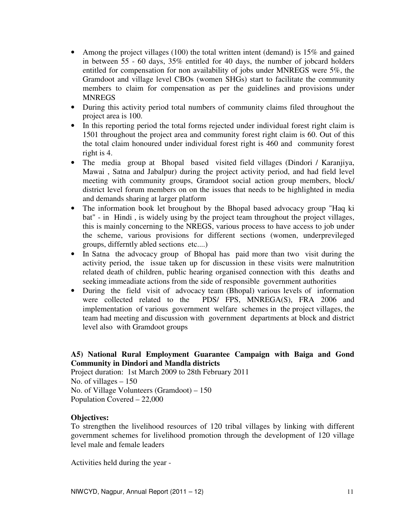- Among the project villages  $(100)$  the total written intent (demand) is 15% and gained in between 55 - 60 days, 35% entitled for 40 days, the number of jobcard holders entitled for compensation for non availability of jobs under MNREGS were 5%, the Gramdoot and village level CBOs (women SHGs) start to facilitate the community members to claim for compensation as per the guidelines and provisions under **MNREGS**
- During this activity period total numbers of community claims filed throughout the project area is 100.
- In this reporting period the total forms rejected under individual forest right claim is 1501 throughout the project area and community forest right claim is 60. Out of this the total claim honoured under individual forest right is 460 and community forest right is 4.
- The media group at Bhopal based visited field villages (Dindori / Karanjiya, Mawai , Satna and Jabalpur) during the project activity period, and had field level meeting with community groups, Gramdoot social action group members, block/ district level forum members on on the issues that needs to be highlighted in media and demands sharing at larger platform
- The information book let broughout by the Bhopal based advocacy group "Haq ki bat" - in Hindi , is widely using by the project team throughout the project villages, this is mainly concerning to the NREGS, various process to have access to job under the scheme, various provisions for different sections (women, underprevileged groups, differntly abled sections etc....)
- In Satna the advocacy group of Bhopal has paid more than two visit during the activity period, the issue taken up for discussion in these visits were malnutrition related death of children, public hearing organised connection with this deaths and seeking immeadiate actions from the side of responsible government authorities
- During the field visit of advocacy team (Bhopal) various levels of information were collected related to the PDS/ FPS, MNREGA(S), FRA 2006 and implementation of various government welfare schemes in the project villages, the team had meeting and discussion with government departments at block and district level also with Gramdoot groups

# **A5) National Rural Employment Guarantee Campaign with Baiga and Gond Community in Dindori and Mandla districts**

Project duration: 1st March 2009 to 28th February 2011 No. of villages  $-150$ No. of Village Volunteers (Gramdoot) – 150 Population Covered – 22,000

# **Objectives:**

To strengthen the livelihood resources of 120 tribal villages by linking with different government schemes for livelihood promotion through the development of 120 village level male and female leaders

Activities held during the year -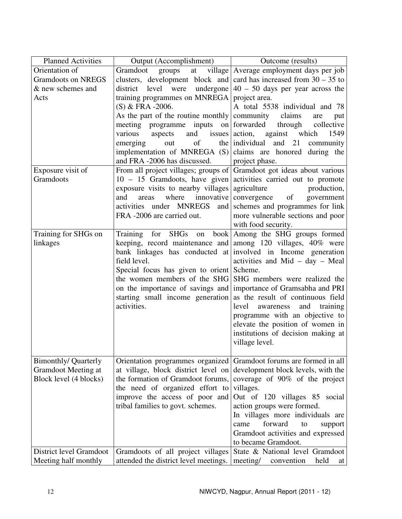| <b>Planned Activities</b><br>Orientation of | Output (Accomplishment)                                                 | Outcome (results)                                                 |
|---------------------------------------------|-------------------------------------------------------------------------|-------------------------------------------------------------------|
| <b>Gramdoots on NREGS</b>                   | Gramdoot                                                                | groups at village Average employment days per job                 |
|                                             | clusters, development block and card has increased from $30 - 35$ to    |                                                                   |
| & new schemes and                           | level were<br>district                                                  | undergone $ 40 - 50$ days per year across the                     |
| Acts                                        | training programmes on MNREGA project area.                             |                                                                   |
|                                             | $(S)$ & FRA -2006.                                                      | A total 5538 individual and 78                                    |
|                                             | As the part of the routine monthly community                            | claims<br>are<br>put                                              |
|                                             | meeting programme inputs on forwarded                                   | through collective                                                |
|                                             | various<br>aspects                                                      | and issues action, against which<br>1549                          |
|                                             | emerging<br>of<br>out                                                   | and<br>the individual<br>21<br>community                          |
|                                             | implementation of MNREGA $(S)$ claims are honored during the            |                                                                   |
|                                             | and FRA -2006 has discussed.                                            | project phase.                                                    |
| Exposure visit of                           | From all project villages; groups of Gramdoot got ideas about various   |                                                                   |
| Gramdoots                                   |                                                                         | $10 - 15$ Gramdoots, have given activities carried out to promote |
|                                             | exposure visits to nearby villages agriculture                          | production,                                                       |
|                                             | where<br>innovative<br>and<br>areas                                     | convergence of<br>government                                      |
|                                             | activities under MNREGS<br>and                                          | schemes and programmes for link                                   |
|                                             | FRA -2006 are carried out.                                              | more vulnerable sections and poor                                 |
|                                             |                                                                         | with food security.                                               |
| Training for SHGs on                        |                                                                         | Training for SHGs on book   Among the SHG groups formed           |
| linkages                                    | keeping, record maintenance and among 120 villages, 40% were            |                                                                   |
|                                             | bank linkages has conducted at involved in Income generation            |                                                                   |
|                                             | field level.                                                            | activities and Mid $-$ day $-$ Meal                               |
|                                             | Special focus has given to orient Scheme.                               |                                                                   |
|                                             |                                                                         | the women members of the SHG SHG members were realized the        |
|                                             |                                                                         | on the importance of savings and importance of Gramsabha and PRI  |
|                                             | starting small income generation as the result of continuous field      |                                                                   |
|                                             | activities.                                                             | level<br>awareness<br>and training                                |
|                                             |                                                                         | programme with an objective to                                    |
|                                             |                                                                         | elevate the position of women in                                  |
|                                             |                                                                         |                                                                   |
|                                             |                                                                         | institutions of decision making at                                |
|                                             |                                                                         | village level.                                                    |
|                                             |                                                                         | Gramdoot forums are formed in all                                 |
| <b>Bimonthly/ Quarterly</b>                 | Orientation programmes organized<br>at village, block district level on | development block levels, with the                                |
| <b>Gramdoot Meeting at</b>                  |                                                                         |                                                                   |
| Block level (4 blocks)                      | the formation of Gramdoot forums,                                       | coverage of 90% of the project                                    |
|                                             | the need of organized effort to                                         | villages.                                                         |
|                                             | improve the access of poor and                                          | Out of 120 villages 85 social                                     |
|                                             | tribal families to govt. schemes.                                       | action groups were formed.                                        |
|                                             |                                                                         | In villages more individuals are                                  |
|                                             |                                                                         | forward<br>came<br>to<br>support                                  |
|                                             |                                                                         | Gramdoot activities and expressed                                 |
|                                             |                                                                         | to became Gramdoot.                                               |
| District level Gramdoot                     | Gramdoots of all project villages                                       | State & National level Gramdoot                                   |
| Meeting half monthly                        | attended the district level meetings.                                   | meeting/<br>convention<br>held<br>at                              |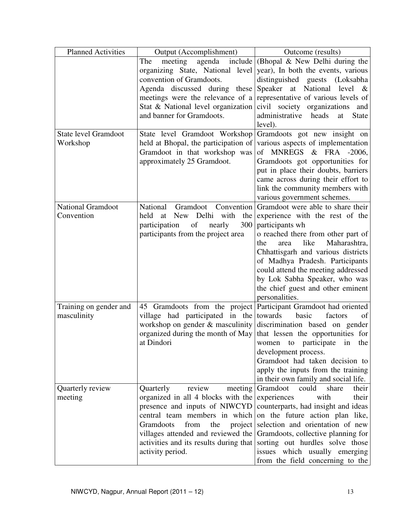| <b>Planned Activities</b>   | Output (Accomplishment)                                             | Outcome (results)                                                   |
|-----------------------------|---------------------------------------------------------------------|---------------------------------------------------------------------|
|                             | The<br>meeting                                                      | agenda include (Bhopal & New Delhi during the                       |
|                             | organizing State, National level                                    | year), In both the events, various                                  |
|                             | convention of Gramdoots.                                            | distinguished guests (Loksabha                                      |
|                             | Agenda discussed during these                                       | Speaker at National level &                                         |
|                             | meetings were the relevance of a                                    | representative of various levels of                                 |
|                             | Stat & National level organization                                  | civil society organizations<br>and                                  |
|                             | and banner for Gramdoots.                                           | administrative heads<br>at<br><b>State</b>                          |
|                             |                                                                     | level).                                                             |
| <b>State level Gramdoot</b> | State level Gramdoot Workshop                                       | Gramdoots got new insight on                                        |
| Workshop                    | held at Bhopal, the participation of                                | various aspects of implementation                                   |
|                             | Gramdoot in that workshop was                                       | of MNREGS & FRA -2006,                                              |
|                             | approximately 25 Gramdoot.                                          | Gramdoots got opportunities for                                     |
|                             |                                                                     | put in place their doubts, barriers                                 |
|                             |                                                                     | came across during their effort to                                  |
|                             |                                                                     | link the community members with                                     |
|                             |                                                                     | various government schemes.                                         |
| <b>National Gramdoot</b>    | National<br>Gramdoot<br>Convention                                  | Gramdoot were able to share their                                   |
| Convention                  | at New Delhi<br>with<br>held<br>the                                 | experience with the rest of the                                     |
|                             | of<br>300<br>participation<br>nearly                                | participants wh                                                     |
|                             | participants from the project area                                  | o reached there from other part of                                  |
|                             |                                                                     | like<br>Maharashtra,<br>the<br>area                                 |
|                             |                                                                     | Chhattisgarh and various districts                                  |
|                             |                                                                     | of Madhya Pradesh. Participants                                     |
|                             |                                                                     | could attend the meeting addressed                                  |
|                             |                                                                     | by Lok Sabha Speaker, who was                                       |
|                             |                                                                     | the chief guest and other eminent                                   |
|                             |                                                                     | personalities.                                                      |
| Training on gender and      | 45 Gramdoots from the project                                       | Participant Gramdoot had oriented<br>basic                          |
| masculinity                 | village had participated in the<br>workshop on gender & masculinity | towards<br>factors<br>of                                            |
|                             | organized during the month of May                                   | discrimination based on gender<br>that lessen the opportunities for |
|                             | at Dindori                                                          | women to participate                                                |
|                             |                                                                     | 1n<br>the<br>development process.                                   |
|                             |                                                                     | Gramdoot had taken decision to                                      |
|                             |                                                                     | apply the inputs from the training                                  |
|                             |                                                                     | in their own family and social life.                                |
| Quarterly review            | Quarterly<br>review<br>meeting                                      | Gramdoot<br>could<br>share<br>their                                 |
| meeting                     | organized in all 4 blocks with the                                  | experiences<br>with<br>their                                        |
|                             | presence and inputs of NIWCYD                                       | counterparts, had insight and ideas                                 |
|                             | central team members in which                                       | on the future action plan like,                                     |
|                             | Gramdoots<br>from<br>the<br>project                                 | selection and orientation of new                                    |
|                             | villages attended and reviewed the                                  | Gramdoots, collective planning for                                  |
|                             | activities and its results during that                              | sorting out hurdles solve those                                     |
|                             | activity period.                                                    | issues which usually emerging                                       |
|                             |                                                                     | from the field concerning to the                                    |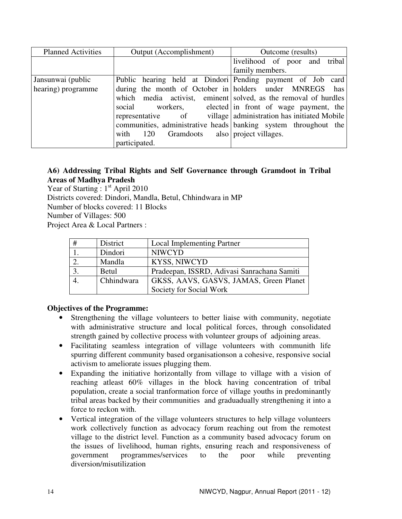| <b>Planned Activities</b> | Output (Accomplishment)                                           | Outcome (results)                                               |
|---------------------------|-------------------------------------------------------------------|-----------------------------------------------------------------|
|                           |                                                                   | livelihood of poor and tribal                                   |
|                           |                                                                   | family members.                                                 |
| Jansunwai (public         |                                                                   | Public hearing held at Dindori Pending payment of Job card      |
| hearing) programme        | during the month of October in holders under MNREGS has           |                                                                 |
|                           |                                                                   | which media activist, eminent solved, as the removal of hurdles |
|                           | social workers, elected in front of wage payment, the             |                                                                 |
|                           | representative                                                    | of village administration has initiated Mobile                  |
|                           | communities, administrative heads   banking system throughout the |                                                                 |
|                           | Gramdoots also project villages.<br>with $120$                    |                                                                 |
|                           | participated.                                                     |                                                                 |

#### **A6) Addressing Tribal Rights and Self Governance through Gramdoot in Tribal Areas of Madhya Pradesh**

Year of Starting :  $1<sup>st</sup>$  April 2010 Districts covered: Dindori, Mandla, Betul, Chhindwara in MP Number of blocks covered: 11 Blocks Number of Villages: 500 Project Area & Local Partners :

| # | District     | <b>Local Implementing Partner</b>           |
|---|--------------|---------------------------------------------|
|   | Dindori      | <b>NIWCYD</b>                               |
|   | Mandla       | KYSS, NIWCYD                                |
|   | <b>Betul</b> | Pradeepan, ISSRD, Adivasi Sanrachana Samiti |
|   | Chhindwara   | GKSS, AAVS, GASVS, JAMAS, Green Planet      |
|   |              | Society for Social Work                     |

# **Objectives of the Programme:**

- Strengthening the village volunteers to better liaise with community, negotiate with administrative structure and local political forces, through consolidated strength gained by collective process with volunteer groups of adjoining areas.
- Facilitating seamless integration of village volunteers with communith life spurring different community based organisationson a cohesive, responsive social activism to ameliorate issues plugging them.
- Expanding the initiative horizontally from village to village with a vision of reaching atleast 60% villages in the block having concentration of tribal population, create a social tranformation force of village youths in predominantly tribal areas backed by their communities and graduadually strengthening it into a force to reckon with.
- Vertical integration of the village volunteers structures to help village volunteers work collectively function as advocacy forum reaching out from the remotest village to the district level. Function as a community based advocacy forum on the issues of livelihood, human rights, ensuring reach and responsiveness of government programmes/services to the poor while preventing diversion/misutilization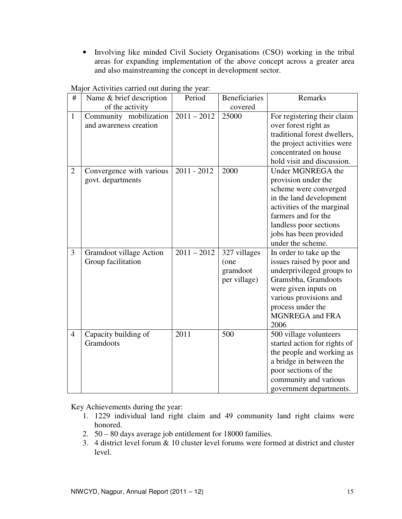• Involving like minded Civil Society Organisations (CSO) working in the tribal areas for expanding implementation of the above concept across a greater area and also mainstreaming the concept in development sector.

| #              | Name & brief description                         | Period        | <b>Beneficiaries</b>                             | Remarks                                                                                                                                                                                                                    |
|----------------|--------------------------------------------------|---------------|--------------------------------------------------|----------------------------------------------------------------------------------------------------------------------------------------------------------------------------------------------------------------------------|
|                | of the activity                                  |               | covered                                          |                                                                                                                                                                                                                            |
| $\mathbf{1}$   | Community mobilization<br>and awareness creation | $2011 - 2012$ | 25000                                            | For registering their claim<br>over forest right as<br>traditional forest dwellers,<br>the project activities were<br>concentrated on house<br>hold visit and discussion.                                                  |
| $\overline{2}$ | Convergence with various<br>govt. departments    | $2011 - 2012$ | 2000                                             | Under MGNREGA the<br>provision under the<br>scheme were converged<br>in the land development<br>activities of the marginal<br>farmers and for the<br>landless poor sections<br>jobs has been provided<br>under the scheme. |
| 3              | Gramdoot village Action<br>Group facilitation    | $2011 - 2012$ | 327 villages<br>(one<br>gramdoot<br>per village) | In order to take up the<br>issues raised by poor and<br>underprivileged groups to<br>Gramsbha, Gramdoots<br>were given inputs on<br>various provisions and<br>process under the<br><b>MGNREGA</b> and FRA<br>2006          |
| $\overline{4}$ | Capacity building of<br>Gramdoots                | 2011          | 500                                              | 500 village volunteers<br>started action for rights of<br>the people and working as<br>a bridge in between the<br>poor sections of the<br>community and various<br>government departments.                                 |

Major Activities carried out during the year:

Key Achievements during the year:

- 1. 1229 individual land right claim and 49 community land right claims were honored.
- 2. 50 80 days average job entitlement for 18000 families.
- 3. 4 district level forum & 10 cluster level forums were formed at district and cluster level.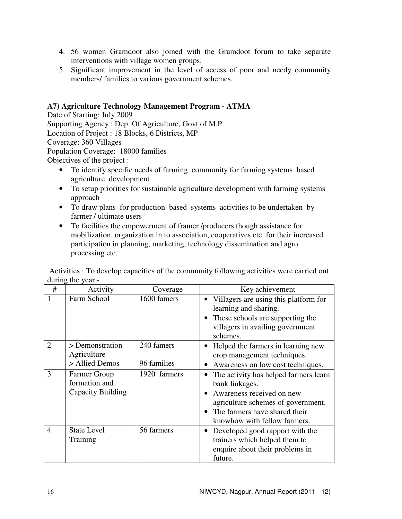- 4. 56 women Gramdoot also joined with the Gramdoot forum to take separate interventions with village women groups.
- 5. Significant improvement in the level of access of poor and needy community members/ families to various government schemes.

#### **A7) Agriculture Technology Management Program - ATMA**

Date of Starting: July 2009 Supporting Agency : Dep. Of Agriculture, Govt of M.P. Location of Project : 18 Blocks, 6 Districts, MP Coverage: 360 Villages Population Coverage: 18000 families Objectives of the project :

- To identify specific needs of farming community for farming systems based agriculture development
- To setup priorities for sustainable agriculture development with farming systems approach
- To draw plans for production based systems activities to be undertaken by farmer / ultimate users
- To facilities the empowerment of framer /producers though assistance for mobilization, organization in to association, cooperatives etc. for their increased participation in planning, marketing, technology dissemination and agro processing etc.

| #              | Activity                                           | Coverage                  | Key achievement                                                                                                                                                                                            |
|----------------|----------------------------------------------------|---------------------------|------------------------------------------------------------------------------------------------------------------------------------------------------------------------------------------------------------|
| 1              | Farm School                                        | 1600 famers               | Villagers are using this platform for<br>learning and sharing.<br>• These schools are supporting the<br>villagers in availing government<br>schemes.                                                       |
| $\overline{2}$ | > Demonstration<br>Agriculture<br>> Allied Demos   | 240 famers<br>96 families | • Helped the farmers in learning new<br>crop management techniques.<br>Awareness on low cost techniques.                                                                                                   |
| 3              | Farmer Group<br>formation and<br>Capacity Building | 1920 farmers              | The activity has helped farmers learn<br>bank linkages.<br>• Awareness received on new<br>agriculture schemes of government.<br>The farmers have shared their<br>$\bullet$<br>knowhow with fellow farmers. |
| $\overline{4}$ | <b>State Level</b><br>Training                     | 56 farmers                | Developed good rapport with the<br>trainers which helped them to<br>enquire about their problems in<br>future.                                                                                             |

 Activities : To develop capacities of the community following activities were carried out during the year -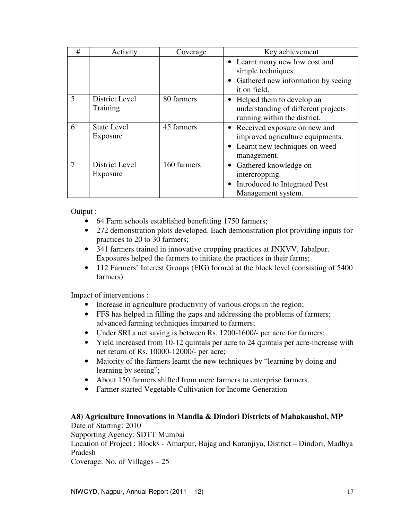| #              | Activity                       | Coverage    | Key achievement                                                                                                      |
|----------------|--------------------------------|-------------|----------------------------------------------------------------------------------------------------------------------|
|                |                                |             | • Learnt many new low cost and<br>simple techniques.<br>• Gathered new information by seeing                         |
|                |                                |             | it on field.                                                                                                         |
| 5              | District Level<br>Training     | 80 farmers  | Helped them to develop an<br>understanding of different projects<br>running within the district.                     |
| 6              | <b>State Level</b><br>Exposure | 45 farmers  | • Received exposure on new and<br>improved agriculture equipments.<br>• Learnt new techniques on weed<br>management. |
| $\overline{7}$ | District Level<br>Exposure     | 160 farmers | • Gathered knowledge on<br>intercropping.<br>Introduced to Integrated Pest<br>Management system.                     |

Output :

- 64 Farm schools established benefitting 1750 farmers;
- 272 demonstration plots developed. Each demonstration plot providing inputs for practices to 20 to 30 farmers;
- 341 farmers trained in innovative cropping practices at JNKVV, Jabalpur. Exposures helped the farmers to initiate the practices in their farms;
- 112 Farmers' Interest Groups (FIG) formed at the block level (consisting of 5400 farmers).

Impact of interventions :

- Increase in agriculture productivity of various crops in the region;
- FFS has helped in filling the gaps and addressing the problems of farmers; advanced farming techniques imparted to farmers;
- Under SRI a net saving is between Rs. 1200-1600/- per acre for farmers;
- Yield increased from 10-12 quintals per acre to 24 quintals per acre-increase with net return of Rs. 10000-12000/- per acre;
- Majority of the farmers learnt the new techniques by "learning by doing and learning by seeing";
- About 150 farmers shifted from mere farmers to enterprise farmers.
- Farmer started Vegetable Cultivation for Income Generation

# **A8) Agriculture Innovations in Mandla & Dindori Districts of Mahakaushal, MP**

Date of Starting: 2010

Supporting Agency: SDTT Mumbai

Location of Project : Blocks - Amarpur, Bajag and Karanjiya, District – Dindori, Madhya Pradesh

Coverage: No. of Villages – 25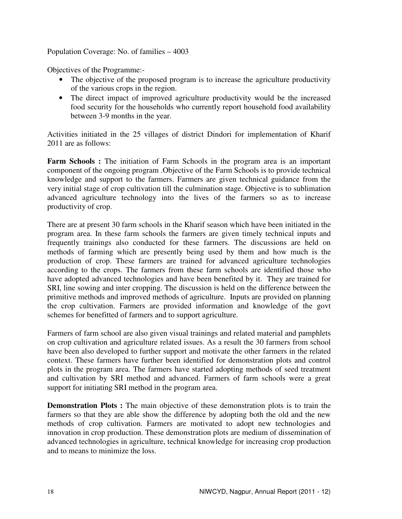Population Coverage: No. of families – 4003

Objectives of the Programme:-

- The objective of the proposed program is to increase the agriculture productivity of the various crops in the region.
- The direct impact of improved agriculture productivity would be the increased food security for the households who currently report household food availability between 3-9 months in the year.

Activities initiated in the 25 villages of district Dindori for implementation of Kharif 2011 are as follows:

**Farm Schools :** The initiation of Farm Schools in the program area is an important component of the ongoing program .Objective of the Farm Schools is to provide technical knowledge and support to the farmers. Farmers are given technical guidance from the very initial stage of crop cultivation till the culmination stage. Objective is to sublimation advanced agriculture technology into the lives of the farmers so as to increase productivity of crop.

There are at present 30 farm schools in the Kharif season which have been initiated in the program area. In these farm schools the farmers are given timely technical inputs and frequently trainings also conducted for these farmers. The discussions are held on methods of farming which are presently being used by them and how much is the production of crop. These farmers are trained for advanced agriculture technologies according to the crops. The farmers from these farm schools are identified those who have adopted advanced technologies and have been benefited by it. They are trained for SRI, line sowing and inter cropping. The discussion is held on the difference between the primitive methods and improved methods of agriculture. Inputs are provided on planning the crop cultivation. Farmers are provided information and knowledge of the govt schemes for benefitted of farmers and to support agriculture.

Farmers of farm school are also given visual trainings and related material and pamphlets on crop cultivation and agriculture related issues. As a result the 30 farmers from school have been also developed to further support and motivate the other farmers in the related context. These farmers have further been identified for demonstration plots and control plots in the program area. The farmers have started adopting methods of seed treatment and cultivation by SRI method and advanced. Farmers of farm schools were a great support for initiating SRI method in the program area.

**Demonstration Plots :** The main objective of these demonstration plots is to train the farmers so that they are able show the difference by adopting both the old and the new methods of crop cultivation. Farmers are motivated to adopt new technologies and innovation in crop production. These demonstration plots are medium of dissemination of advanced technologies in agriculture, technical knowledge for increasing crop production and to means to minimize the loss.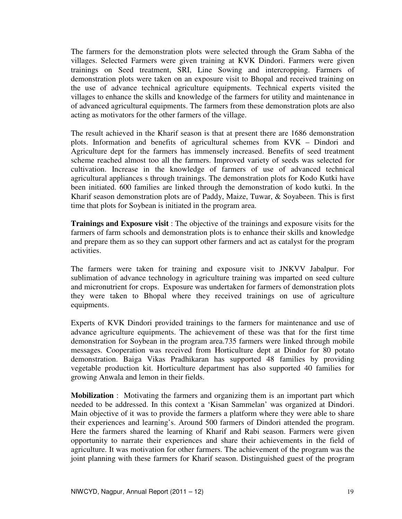The farmers for the demonstration plots were selected through the Gram Sabha of the villages. Selected Farmers were given training at KVK Dindori. Farmers were given trainings on Seed treatment, SRI, Line Sowing and intercropping. Farmers of demonstration plots were taken on an exposure visit to Bhopal and received training on the use of advance technical agriculture equipments. Technical experts visited the villages to enhance the skills and knowledge of the farmers for utility and maintenance in of advanced agricultural equipments. The farmers from these demonstration plots are also acting as motivators for the other farmers of the village.

The result achieved in the Kharif season is that at present there are 1686 demonstration plots. Information and benefits of agricultural schemes from KVK – Dindori and Agriculture dept for the farmers has immensely increased. Benefits of seed treatment scheme reached almost too all the farmers. Improved variety of seeds was selected for cultivation. Increase in the knowledge of farmers of use of advanced technical agricultural appliances s through trainings. The demonstration plots for Kodo Kutki have been initiated. 600 families are linked through the demonstration of kodo kutki. In the Kharif season demonstration plots are of Paddy, Maize, Tuwar, & Soyabeen. This is first time that plots for Soybean is initiated in the program area.

**Trainings and Exposure visit** : The objective of the trainings and exposure visits for the farmers of farm schools and demonstration plots is to enhance their skills and knowledge and prepare them as so they can support other farmers and act as catalyst for the program activities.

The farmers were taken for training and exposure visit to JNKVV Jabalpur. For sublimation of advance technology in agriculture training was imparted on seed culture and micronutrient for crops. Exposure was undertaken for farmers of demonstration plots they were taken to Bhopal where they received trainings on use of agriculture equipments.

Experts of KVK Dindori provided trainings to the farmers for maintenance and use of advance agriculture equipments. The achievement of these was that for the first time demonstration for Soybean in the program area.735 farmers were linked through mobile messages. Cooperation was received from Horticulture dept at Dindor for 80 potato demonstration. Baiga Vikas Pradhikaran has supported 48 families by providing vegetable production kit. Horticulture department has also supported 40 families for growing Anwala and lemon in their fields.

**Mobilization** : Motivating the farmers and organizing them is an important part which needed to be addressed. In this context a 'Kisan Sammelan' was organized at Dindori. Main objective of it was to provide the farmers a platform where they were able to share their experiences and learning's. Around 500 farmers of Dindori attended the program. Here the farmers shared the learning of Kharif and Rabi season. Farmers were given opportunity to narrate their experiences and share their achievements in the field of agriculture. It was motivation for other farmers. The achievement of the program was the joint planning with these farmers for Kharif season. Distinguished guest of the program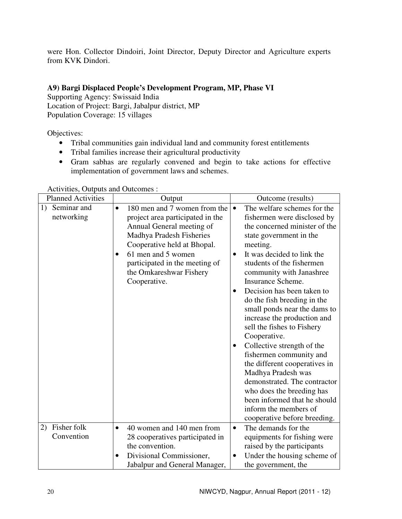were Hon. Collector Dindoiri, Joint Director, Deputy Director and Agriculture experts from KVK Dindori.

# **A9) Bargi Displaced People's Development Program, MP, Phase VI**

Supporting Agency: Swissaid India Location of Project: Bargi, Jabalpur district, MP

Population Coverage: 15 villages

Objectives:

- Tribal communities gain individual land and community forest entitlements
- Tribal families increase their agricultural productivity
- Gram sabhas are regularly convened and begin to take actions for effective implementation of government laws and schemes.

| <b>Planned Activities</b>                            | Output                                                                                                                                                                                                                                                                                                                          | Outcome (results)                                                                                                                                                                                                                                                                                                                                                                                                                                                                                                                                                                                                                                                                                                                                           |
|------------------------------------------------------|---------------------------------------------------------------------------------------------------------------------------------------------------------------------------------------------------------------------------------------------------------------------------------------------------------------------------------|-------------------------------------------------------------------------------------------------------------------------------------------------------------------------------------------------------------------------------------------------------------------------------------------------------------------------------------------------------------------------------------------------------------------------------------------------------------------------------------------------------------------------------------------------------------------------------------------------------------------------------------------------------------------------------------------------------------------------------------------------------------|
| Seminar and<br>1)<br>networking<br>Fisher folk<br>2) | 180 men and 7 women from the<br>$\bullet$<br>project area participated in the<br>Annual General meeting of<br>Madhya Pradesh Fisheries<br>Cooperative held at Bhopal.<br>61 men and 5 women<br>$\bullet$<br>participated in the meeting of<br>the Omkareshwar Fishery<br>Cooperative.<br>40 women and 140 men from<br>$\bullet$ | The welfare schemes for the<br>$\bullet$<br>fishermen were disclosed by<br>the concerned minister of the<br>state government in the<br>meeting.<br>It was decided to link the<br>٠<br>students of the fishermen<br>community with Janashree<br><b>Insurance Scheme.</b><br>Decision has been taken to<br>do the fish breeding in the<br>small ponds near the dams to<br>increase the production and<br>sell the fishes to Fishery<br>Cooperative.<br>Collective strength of the<br>fishermen community and<br>the different cooperatives in<br>Madhya Pradesh was<br>demonstrated. The contractor<br>who does the breeding has<br>been informed that he should<br>inform the members of<br>cooperative before breeding.<br>The demands for the<br>$\bullet$ |
| Convention                                           | 28 cooperatives participated in<br>the convention.<br>Divisional Commissioner,<br>٠<br>Jabalpur and General Manager,                                                                                                                                                                                                            | equipments for fishing were<br>raised by the participants<br>Under the housing scheme of<br>$\bullet$<br>the government, the                                                                                                                                                                                                                                                                                                                                                                                                                                                                                                                                                                                                                                |

Activities, Outputs and Outcomes :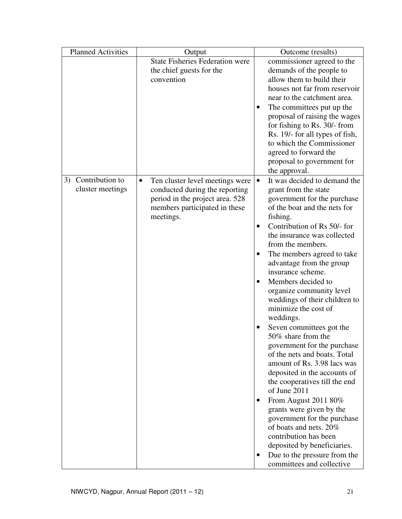| <b>Planned Activities</b> | Output                                       | Outcome (results)                                       |
|---------------------------|----------------------------------------------|---------------------------------------------------------|
|                           | <b>State Fisheries Federation were</b>       | commissioner agreed to the                              |
|                           | the chief guests for the                     | demands of the people to                                |
|                           | convention                                   | allow them to build their                               |
|                           |                                              | houses not far from reservoir                           |
|                           |                                              | near to the catchment area.                             |
|                           |                                              | The committees put up the                               |
|                           |                                              | proposal of raising the wages                           |
|                           |                                              | for fishing to Rs. 30/- from                            |
|                           |                                              | Rs. 19/- for all types of fish,                         |
|                           |                                              | to which the Commissioner                               |
|                           |                                              | agreed to forward the                                   |
|                           |                                              | proposal to government for                              |
|                           |                                              | the approval.                                           |
| Contribution to<br>3)     | Ten cluster level meetings were<br>$\bullet$ | It was decided to demand the<br>$\bullet$               |
| cluster meetings          | conducted during the reporting               | grant from the state                                    |
|                           | period in the project area. 528              | government for the purchase                             |
|                           | members participated in these                | of the boat and the nets for                            |
|                           | meetings.                                    | fishing.                                                |
|                           |                                              | Contribution of Rs 50/- for<br>$\bullet$                |
|                           |                                              | the insurance was collected                             |
|                           |                                              | from the members.                                       |
|                           |                                              | The members agreed to take<br>٠                         |
|                           |                                              | advantage from the group                                |
|                           |                                              | insurance scheme.                                       |
|                           |                                              | Members decided to<br>$\bullet$                         |
|                           |                                              | organize community level                                |
|                           |                                              | weddings of their children to                           |
|                           |                                              | minimize the cost of                                    |
|                           |                                              | weddings.                                               |
|                           |                                              | Seven committees got the<br>٠                           |
|                           |                                              | 50% share from the                                      |
|                           |                                              | government for the purchase                             |
|                           |                                              | of the nets and boats. Total                            |
|                           |                                              | amount of Rs. 3.98 lacs was                             |
|                           |                                              | deposited in the accounts of                            |
|                           |                                              | the cooperatives till the end<br>of June 2011           |
|                           |                                              |                                                         |
|                           |                                              | From August 2011 80%<br>$\bullet$                       |
|                           |                                              | grants were given by the<br>government for the purchase |
|                           |                                              | of boats and nets. 20%                                  |
|                           |                                              | contribution has been                                   |
|                           |                                              | deposited by beneficiaries.                             |
|                           |                                              | Due to the pressure from the                            |
|                           |                                              | committees and collective                               |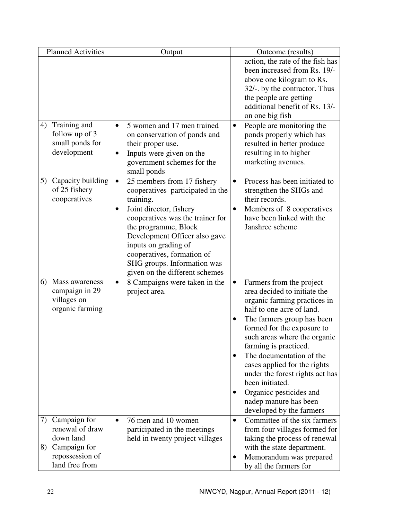| <b>Planned Activities</b>                                                                                     | Output                                                                                                                                                                                                                                                                                                                                               | Outcome (results)                                                                                                                                                                                                                                                                                                                                                                                                                                                      |
|---------------------------------------------------------------------------------------------------------------|------------------------------------------------------------------------------------------------------------------------------------------------------------------------------------------------------------------------------------------------------------------------------------------------------------------------------------------------------|------------------------------------------------------------------------------------------------------------------------------------------------------------------------------------------------------------------------------------------------------------------------------------------------------------------------------------------------------------------------------------------------------------------------------------------------------------------------|
| Training and<br>4)                                                                                            | 5 women and 17 men trained                                                                                                                                                                                                                                                                                                                           | action, the rate of the fish has<br>been increased from Rs. 19/-<br>above one kilogram to Rs.<br>32/-. by the contractor. Thus<br>the people are getting<br>additional benefit of Rs. 13/-<br>on one big fish<br>People are monitoring the                                                                                                                                                                                                                             |
| follow up of 3<br>small ponds for<br>development                                                              | on conservation of ponds and<br>their proper use.<br>Inputs were given on the<br>٠<br>government schemes for the<br>small ponds                                                                                                                                                                                                                      | ponds properly which has<br>resulted in better produce<br>resulting in to higher<br>marketing avenues.                                                                                                                                                                                                                                                                                                                                                                 |
| Capacity building<br>5)<br>of 25 fishery<br>cooperatives                                                      | 25 members from 17 fishery<br>$\bullet$<br>cooperatives participated in the<br>training.<br>Joint director, fishery<br>$\bullet$<br>cooperatives was the trainer for<br>the programme, Block<br>Development Officer also gave<br>inputs on grading of<br>cooperatives, formation of<br>SHG groups. Information was<br>given on the different schemes | Process has been initiated to<br>$\bullet$<br>strengthen the SHGs and<br>their records.<br>Members of 8 cooperatives<br>have been linked with the<br>Janshree scheme                                                                                                                                                                                                                                                                                                   |
| Mass awareness<br>6)<br>campaign in 29<br>villages on<br>organic farming                                      | 8 Campaigns were taken in the<br>$\bullet$<br>project area.                                                                                                                                                                                                                                                                                          | Farmers from the project<br>$\bullet$<br>area decided to initiate the<br>organic farming practices in<br>half to one acre of land.<br>The farmers group has been<br>formed for the exposure to<br>such areas where the organic<br>farming is practiced.<br>The documentation of the<br>$\bullet$<br>cases applied for the rights<br>under the forest rights act has<br>been initiated.<br>Organicc pesticides and<br>nadep manure has been<br>developed by the farmers |
| Campaign for<br>7)<br>renewal of draw<br>down land<br>Campaign for<br>8)<br>repossession of<br>land free from | 76 men and 10 women<br>$\bullet$<br>participated in the meetings<br>held in twenty project villages                                                                                                                                                                                                                                                  | Committee of the six farmers<br>$\bullet$<br>from four villages formed for<br>taking the process of renewal<br>with the state department.<br>Memorandum was prepared<br>by all the farmers for                                                                                                                                                                                                                                                                         |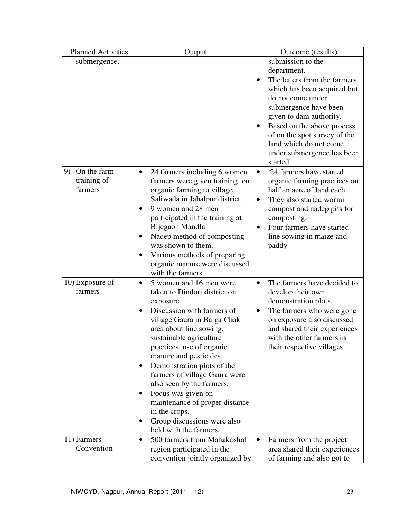| <b>Planned Activities</b> | Output                                               | Outcome (results)                        |
|---------------------------|------------------------------------------------------|------------------------------------------|
| submergence.              |                                                      | submission to the                        |
|                           |                                                      | department.                              |
|                           |                                                      | The letters from the farmers             |
|                           |                                                      | which has been acquired but              |
|                           |                                                      | do not come under                        |
|                           |                                                      | submergence have been                    |
|                           |                                                      | given to dam authority.                  |
|                           |                                                      | Based on the above process               |
|                           |                                                      | of on the spot survey of the             |
|                           |                                                      | land which do not come                   |
|                           |                                                      | under submergence has been               |
|                           |                                                      | started                                  |
| On the farm<br>9)         | 24 farmers including 6 women<br>$\bullet$            | 24 farmers have started<br>$\bullet$     |
| training of               | farmers were given training on                       | organic farming practices on             |
| farmers                   | organic farming to village                           | half an acre of land each.               |
|                           | Saliwada in Jabalpur district.                       | They also started wormi                  |
|                           | 9 women and 28 men                                   | compost and nadep pits for               |
|                           | participated in the training at                      | composting.                              |
|                           | Bijegaon Mandla                                      | Four farmers have started<br>٠           |
|                           | Nadep method of composting                           | line sowing in maize and                 |
|                           | was shown to them.                                   | paddy                                    |
|                           | Various methods of preparing                         |                                          |
|                           | organic manure were discussed                        |                                          |
|                           | with the farmers.                                    |                                          |
| 10) Exposure of           | 5 women and 16 men were<br>$\bullet$                 | The farmers have decided to<br>$\bullet$ |
| farmers                   | taken to Dindori district on                         | develop their own                        |
|                           | exposure.                                            | demonstration plots.                     |
|                           | Discussion with farmers of                           | The farmers who were gone<br>$\bullet$   |
|                           | village Gaura in Baiga Chak                          | on exposure also discussed               |
|                           | area about line sowing,                              | and shared their experiences             |
|                           | sustainable agriculture                              | with the other farmers in                |
|                           | practices, use of organic                            | their respective villages.               |
|                           | manure and pesticides.                               |                                          |
|                           | Demonstration plots of the                           |                                          |
|                           | farmers of village Gaura were                        |                                          |
|                           | also seen by the farmers.                            |                                          |
|                           | Focus was given on                                   |                                          |
|                           | maintenance of proper distance<br>in the crops.      |                                          |
|                           |                                                      |                                          |
|                           | Group discussions were also<br>held with the farmers |                                          |
| 11) Farmers               |                                                      |                                          |
| Convention                | 500 farmers from Mahakoshal<br>$\bullet$             | Farmers from the project<br>$\bullet$    |
|                           | region participated in the                           | area shared their experiences            |
|                           | convention jointly organized by                      | of farming and also got to               |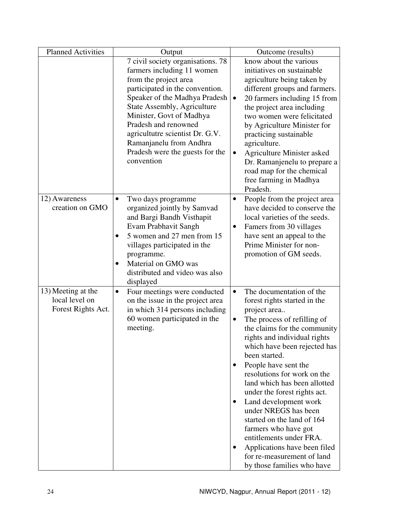| <b>Planned Activities</b>            | Output                                    | Outcome (results)                                            |
|--------------------------------------|-------------------------------------------|--------------------------------------------------------------|
|                                      | 7 civil society organisations. 78         | know about the various                                       |
|                                      | farmers including 11 women                | initiatives on sustainable                                   |
|                                      | from the project area                     | agriculture being taken by                                   |
|                                      | participated in the convention.           | different groups and farmers.                                |
|                                      | Speaker of the Madhya Pradesh             | 20 farmers including 15 from<br>$\bullet$                    |
|                                      | State Assembly, Agriculture               | the project area including                                   |
|                                      | Minister, Govt of Madhya                  | two women were felicitated                                   |
|                                      | Pradesh and renowned                      | by Agriculture Minister for                                  |
|                                      | agricultutre scientist Dr. G.V.           | practicing sustainable                                       |
|                                      | Ramanjanelu from Andhra                   | agriculture.                                                 |
|                                      | Pradesh were the guests for the           | <b>Agriculture Minister asked</b><br>$\bullet$               |
|                                      | convention                                | Dr. Ramanjenelu to prepare a                                 |
|                                      |                                           | road map for the chemical                                    |
|                                      |                                           | free farming in Madhya                                       |
|                                      |                                           | Pradesh.                                                     |
| 12) Awareness                        | Two days programme<br>$\bullet$           | People from the project area<br>$\bullet$                    |
| creation on GMO                      | organized jointly by Samvad               | have decided to conserve the                                 |
|                                      | and Bargi Bandh Visthapit                 | local varieties of the seeds.                                |
|                                      | Evam Prabhavit Sangh                      | Famers from 30 villages<br>$\bullet$                         |
|                                      | 5 women and 27 men from 15                | have sent an appeal to the                                   |
|                                      | villages participated in the              | Prime Minister for non-                                      |
|                                      | programme.                                | promotion of GM seeds.                                       |
|                                      | Material on GMO was                       |                                                              |
|                                      | distributed and video was also            |                                                              |
|                                      | displayed                                 |                                                              |
| 13) Meeting at the<br>local level on | Four meetings were conducted<br>$\bullet$ | The documentation of the<br>$\bullet$                        |
| Forest Rights Act.                   | on the issue in the project area          | forest rights started in the                                 |
|                                      | in which 314 persons including            | project area                                                 |
|                                      | 60 women participated in the<br>meeting.  | The process of refilling of                                  |
|                                      |                                           | the claims for the community<br>rights and individual rights |
|                                      |                                           | which have been rejected has                                 |
|                                      |                                           | been started.                                                |
|                                      |                                           | People have sent the<br>$\bullet$                            |
|                                      |                                           | resolutions for work on the                                  |
|                                      |                                           | land which has been allotted                                 |
|                                      |                                           | under the forest rights act.                                 |
|                                      |                                           | Land development work<br>$\bullet$                           |
|                                      |                                           | under NREGS has been                                         |
|                                      |                                           | started on the land of 164                                   |
|                                      |                                           | farmers who have got                                         |
|                                      |                                           | entitlements under FRA.                                      |
|                                      |                                           | Applications have been filed<br>$\bullet$                    |
|                                      |                                           | for re-measurement of land                                   |
|                                      |                                           | by those families who have                                   |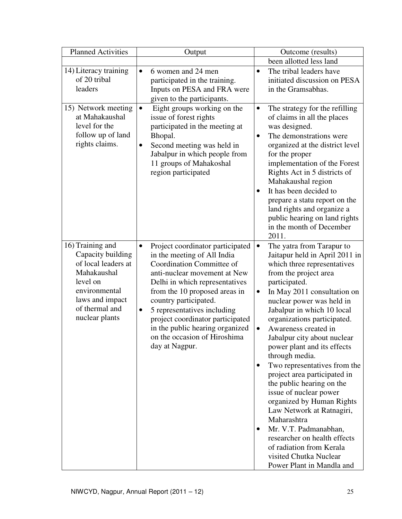| <b>Planned Activities</b>                                                                                                                                       | Output                                                                                                                                                                                                                                                                                                                                                                                        | Outcome (results)                                                                                                                                                                                                                                                                                                                                                                                                                                                                                                                                                                                                                                                                                                                                |
|-----------------------------------------------------------------------------------------------------------------------------------------------------------------|-----------------------------------------------------------------------------------------------------------------------------------------------------------------------------------------------------------------------------------------------------------------------------------------------------------------------------------------------------------------------------------------------|--------------------------------------------------------------------------------------------------------------------------------------------------------------------------------------------------------------------------------------------------------------------------------------------------------------------------------------------------------------------------------------------------------------------------------------------------------------------------------------------------------------------------------------------------------------------------------------------------------------------------------------------------------------------------------------------------------------------------------------------------|
|                                                                                                                                                                 |                                                                                                                                                                                                                                                                                                                                                                                               | been allotted less land                                                                                                                                                                                                                                                                                                                                                                                                                                                                                                                                                                                                                                                                                                                          |
| 14) Literacy training<br>of 20 tribal<br>leaders                                                                                                                | 6 women and 24 men<br>participated in the training.<br>Inputs on PESA and FRA were<br>given to the participants.                                                                                                                                                                                                                                                                              | The tribal leaders have<br>initiated discussion on PESA<br>in the Gramsabhas.                                                                                                                                                                                                                                                                                                                                                                                                                                                                                                                                                                                                                                                                    |
| 15) Network meeting<br>at Mahakaushal<br>level for the<br>follow up of land<br>rights claims.                                                                   | Eight groups working on the<br>$\bullet$<br>issue of forest rights<br>participated in the meeting at<br>Bhopal.<br>Second meeting was held in<br>Jabalpur in which people from<br>11 groups of Mahakoshal<br>region participated                                                                                                                                                              | The strategy for the refilling<br>$\bullet$<br>of claims in all the places<br>was designed.<br>The demonstrations were<br>$\bullet$<br>organized at the district level<br>for the proper<br>implementation of the Forest<br>Rights Act in 5 districts of<br>Mahakaushal region<br>It has been decided to<br>$\bullet$<br>prepare a statu report on the<br>land rights and organize a<br>public hearing on land rights<br>in the month of December<br>2011.                                                                                                                                                                                                                                                                                       |
| 16) Training and<br>Capacity building<br>of local leaders at<br>Mahakaushal<br>level on<br>environmental<br>laws and impact<br>of thermal and<br>nuclear plants | Project coordinator participated<br>$\bullet$<br>in the meeting of All India<br>Coordination Committee of<br>anti-nuclear movement at New<br>Delhi in which representatives<br>from the 10 proposed areas in<br>country participated.<br>5 representatives including<br>project coordinator participated<br>in the public hearing organized<br>on the occasion of Hiroshima<br>day at Nagpur. | The yatra from Tarapur to<br>$\bullet$<br>Jaitapur held in April 2011 in<br>which three representatives<br>from the project area<br>participated.<br>In May 2011 consultation on<br>٠<br>nuclear power was held in<br>Jabalpur in which 10 local<br>organizations participated.<br>Awareness created in<br>Jabalpur city about nuclear<br>power plant and its effects<br>through media.<br>Two representatives from the<br>project area participated in<br>the public hearing on the<br>issue of nuclear power<br>organized by Human Rights<br>Law Network at Ratnagiri,<br>Maharashtra<br>Mr. V.T. Padmanabhan,<br>$\bullet$<br>researcher on health effects<br>of radiation from Kerala<br>visited Chutka Nuclear<br>Power Plant in Mandla and |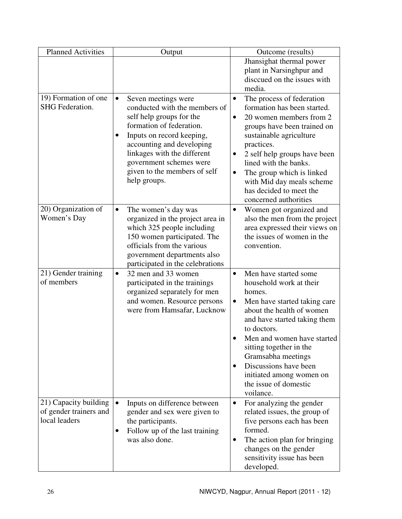| <b>Planned Activities</b> | Output                                      | Outcome (results)                      |
|---------------------------|---------------------------------------------|----------------------------------------|
|                           |                                             | Jhansighat thermal power               |
|                           |                                             | plant in Narsinghpur and               |
|                           |                                             | discoused on the issues with           |
|                           |                                             | media.                                 |
| 19) Formation of one      | Seven meetings were                         | The process of federation<br>$\bullet$ |
| SHG Federation.           | conducted with the members of               | formation has been started.            |
|                           | self help groups for the                    | 20 women members from 2                |
|                           | formation of federation.                    | groups have been trained on            |
|                           | Inputs on record keeping,<br>$\bullet$      | sustainable agriculture                |
|                           | accounting and developing                   | practices.                             |
|                           | linkages with the different                 | 2 self help groups have been           |
|                           | government schemes were                     | lined with the banks.                  |
|                           | given to the members of self                | The group which is linked<br>$\bullet$ |
|                           | help groups.                                | with Mid day meals scheme              |
|                           |                                             | has decided to meet the                |
|                           |                                             | concerned authorities                  |
| 20) Organization of       | The women's day was                         | Women got organized and<br>٠           |
| Women's Day               | organized in the project area in            | also the men from the project          |
|                           | which 325 people including                  | area expressed their views on          |
|                           | 150 women participated. The                 | the issues of women in the             |
|                           | officials from the various                  | convention.                            |
|                           | government departments also                 |                                        |
|                           | participated in the celebrations            |                                        |
| 21) Gender training       | 32 men and 33 women<br>$\bullet$            | Men have started some<br>$\bullet$     |
| of members                | participated in the trainings               | household work at their                |
|                           | organized separately for men                | homes.                                 |
|                           | and women. Resource persons                 | Men have started taking care           |
|                           | were from Hamsafar, Lucknow                 | about the health of women              |
|                           |                                             | and have started taking them           |
|                           |                                             | to doctors.                            |
|                           |                                             | Men and women have started             |
|                           |                                             | sitting together in the                |
|                           |                                             | Gramsabha meetings                     |
|                           |                                             | Discussions have been                  |
|                           |                                             | initiated among women on               |
|                           |                                             | the issue of domestic                  |
|                           |                                             | voilance.                              |
| 21) Capacity building     | Inputs on difference between                | For analyzing the gender<br>$\bullet$  |
| of gender trainers and    | gender and sex were given to                | related issues, the group of           |
| local leaders             | the participants.                           | five persons each has been             |
|                           | Follow up of the last training<br>$\bullet$ | formed.                                |
|                           | was also done.                              | The action plan for bringing           |
|                           |                                             | changes on the gender                  |
|                           |                                             | sensitivity issue has been             |
|                           |                                             | developed.                             |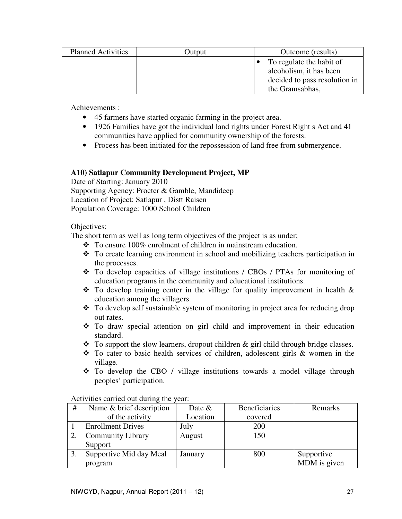| <b>Planned Activities</b> | Output | Outcome (results)                                                                                       |  |
|---------------------------|--------|---------------------------------------------------------------------------------------------------------|--|
|                           |        | To regulate the habit of<br>alcoholism, it has been<br>decided to pass resolution in<br>the Gramsabhas. |  |

Achievements :

- 45 farmers have started organic farming in the project area.
- 1926 Families have got the individual land rights under Forest Right s Act and 41 communities have applied for community ownership of the forests.
- Process has been initiated for the repossession of land free from submergence.

#### **A10) Satlapur Community Development Project, MP**

Date of Starting: January 2010 Supporting Agency: Procter & Gamble, Mandideep Location of Project: Satlapur , Distt Raisen Population Coverage: 1000 School Children

#### Objectives:

The short term as well as long term objectives of the project is as under;

- To ensure 100% enrolment of children in mainstream education.
- $\div$  To create learning environment in school and mobilizing teachers participation in the processes.
- To develop capacities of village institutions / CBOs / PTAs for monitoring of education programs in the community and educational institutions.
- $\hat{\mathbf{\cdot}}$  To develop training center in the village for quality improvement in health  $\hat{\mathbf{\cdot}}$ education among the villagers.
- To develop self sustainable system of monitoring in project area for reducing drop out rates.
- To draw special attention on girl child and improvement in their education standard.
- $\div$  To support the slow learners, dropout children & girl child through bridge classes.
- To cater to basic health services of children, adolescent girls & women in the village.
- To develop the CBO / village institutions towards a model village through peoples' participation.

| # | Name & brief description | Date $&$ | <b>Beneficiaries</b> | Remarks      |
|---|--------------------------|----------|----------------------|--------------|
|   | of the activity          | Location | covered              |              |
|   | <b>Enrollment Drives</b> | July     | 200                  |              |
|   | <b>Community Library</b> | August   | 150                  |              |
|   | Support                  |          |                      |              |
|   | Supportive Mid day Meal  | January  | 800                  | Supportive   |
|   | program                  |          |                      | MDM is given |

Activities carried out during the year: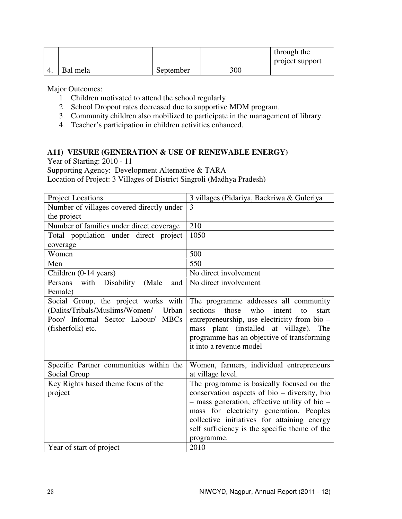|    |          |           |     | through the     |
|----|----------|-----------|-----|-----------------|
|    |          |           |     | project support |
| 4. | Bal mela | September | 300 |                 |

Major Outcomes:

- 1. Children motivated to attend the school regularly
- 2. School Dropout rates decreased due to supportive MDM program.
- 3. Community children also mobilized to participate in the management of library.
- 4. Teacher's participation in children activities enhanced.

# **A11) VESURE (GENERATION & USE OF RENEWABLE ENERGY)**

Year of Starting: 2010 - 11

Supporting Agency: Development Alternative & TARA

Location of Project: 3 Villages of District Singroli (Madhya Pradesh)

| <b>Project Locations</b>                      | 3 villages (Pidariya, Backriwa & Guleriya                    |
|-----------------------------------------------|--------------------------------------------------------------|
| Number of villages covered directly under     | 3                                                            |
| the project                                   |                                                              |
| Number of families under direct coverage      | 210                                                          |
| Total population under direct project         | 1050                                                         |
| coverage                                      |                                                              |
| Women                                         | 500                                                          |
| Men                                           | 550                                                          |
| Children (0-14 years)                         | No direct involvement                                        |
| Disability<br>with<br>(Male<br>Persons<br>and | No direct involvement                                        |
| Female)                                       |                                                              |
| Social Group, the project works with          | The programme addresses all community                        |
| (Dalits/Tribals/Muslims/Women/<br>Urban       | those<br>sections<br>who<br>intent<br>$\mathsf{to}$<br>start |
| Poor/ Informal Sector Labour/ MBCs            | entrepreneurship, use electricity from bio -                 |
| (fisherfolk) etc.                             | mass plant (installed at village).<br>The                    |
|                                               | programme has an objective of transforming                   |
|                                               | it into a revenue model                                      |
|                                               |                                                              |
| Specific Partner communities within the       | Women, farmers, individual entrepreneurs                     |
| Social Group                                  | at village level.                                            |
| Key Rights based theme focus of the           | The programme is basically focused on the                    |
| project                                       | conservation aspects of bio – diversity, bio                 |
|                                               | - mass generation, effective utility of bio -                |
|                                               | mass for electricity generation. Peoples                     |
|                                               | collective initiatives for attaining energy                  |
|                                               | self sufficiency is the specific theme of the                |
|                                               | programme.                                                   |
| Year of start of project                      | 2010                                                         |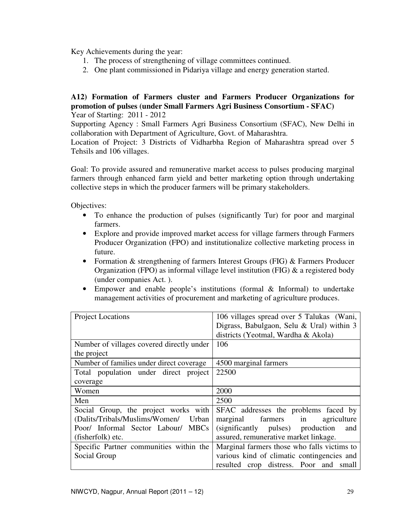Key Achievements during the year:

- 1. The process of strengthening of village committees continued.
- 2. One plant commissioned in Pidariya village and energy generation started.

#### **A12) Formation of Farmers cluster and Farmers Producer Organizations for promotion of pulses (under Small Farmers Agri Business Consortium - SFAC)**  Year of Starting: 2011 - 2012

Supporting Agency : Small Farmers Agri Business Consortium (SFAC), New Delhi in collaboration with Department of Agriculture, Govt. of Maharashtra.

Location of Project: 3 Districts of Vidharbha Region of Maharashtra spread over 5 Tehsils and 106 villages.

Goal: To provide assured and remunerative market access to pulses producing marginal farmers through enhanced farm yield and better marketing option through undertaking collective steps in which the producer farmers will be primary stakeholders.

Objectives:

- To enhance the production of pulses (significantly Tur) for poor and marginal farmers.
- Explore and provide improved market access for village farmers through Farmers Producer Organization (FPO) and institutionalize collective marketing process in future.
- Formation & strengthening of farmers Interest Groups (FIG) & Farmers Producer Organization (FPO) as informal village level institution (FIG) & a registered body (under companies Act. ).
- Empower and enable people's institutions (formal & Informal) to undertake management activities of procurement and marketing of agriculture produces.

| <b>Project Locations</b>                  | 106 villages spread over 5 Talukas (Wani,   |  |  |
|-------------------------------------------|---------------------------------------------|--|--|
|                                           | Digrass, Babulgaon, Selu & Ural) within 3   |  |  |
|                                           | districts (Yeotmal, Wardha & Akola)         |  |  |
| Number of villages covered directly under | 106                                         |  |  |
| the project                               |                                             |  |  |
| Number of families under direct coverage  | 4500 marginal farmers                       |  |  |
| Total population under direct project     | 22500                                       |  |  |
| coverage                                  |                                             |  |  |
| Women                                     | 2000                                        |  |  |
| Men                                       | 2500                                        |  |  |
| Social Group, the project works with      | SFAC addresses the problems faced by        |  |  |
| (Dalits/Tribals/Muslims/Women/<br>Urban   | marginal farmers<br>in<br>agriculture       |  |  |
| Poor/ Informal Sector Labour/ MBCs        | (significantly pulses) production<br>and    |  |  |
| (fisherfolk) etc.                         | assured, remunerative market linkage.       |  |  |
| Specific Partner communities within the   | Marginal farmers those who falls victims to |  |  |
| Social Group                              | various kind of climatic contingencies and  |  |  |
|                                           | resulted crop distress. Poor and small      |  |  |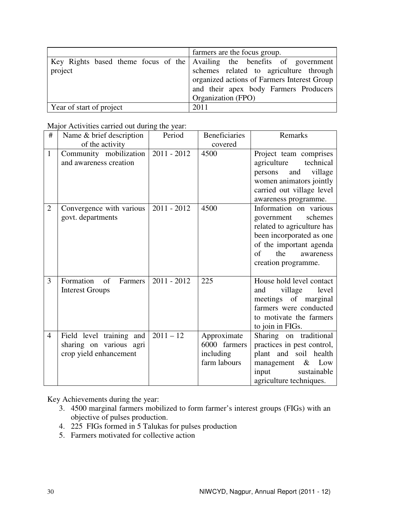|                          | farmers are the focus group.                                            |
|--------------------------|-------------------------------------------------------------------------|
|                          | Key Rights based theme focus of the Availing the benefits of government |
| project                  | schemes related to agriculture through                                  |
|                          | organized actions of Farmers Interest Group                             |
|                          | and their apex body Farmers Producers                                   |
|                          | Organization (FPO)                                                      |
| Year of start of project | 2011                                                                    |

Major Activities carried out during the year:

| #              | Name & brief description                                                      | Period        | <b>Beneficiaries</b>                                     | Remarks                                                                                                                                                                                       |
|----------------|-------------------------------------------------------------------------------|---------------|----------------------------------------------------------|-----------------------------------------------------------------------------------------------------------------------------------------------------------------------------------------------|
|                | of the activity                                                               |               | covered                                                  |                                                                                                                                                                                               |
| $\mathbf{1}$   | Community mobilization<br>and awareness creation                              | $2011 - 2012$ | 4500                                                     | Project team comprises<br>agriculture<br>technical<br>village<br>and<br>persons<br>women animators jointly<br>carried out village level<br>awareness programme.                               |
| $\overline{2}$ | Convergence with various<br>govt. departments                                 | $2011 - 2012$ | 4500                                                     | Information on various<br>schemes<br>government<br>related to agriculture has<br>been incorporated as one<br>of the important agenda<br>$\sigma$ f<br>the<br>awareness<br>creation programme. |
| 3              | Formation<br>of<br>Farmers<br><b>Interest Groups</b>                          | $2011 - 2012$ | 225                                                      | House hold level contact<br>village<br>level<br>and<br>meetings of marginal<br>farmers were conducted<br>to motivate the farmers<br>to join in FIGs.                                          |
| $\overline{4}$ | Field level training and<br>sharing on various agri<br>crop yield enhancement | $2011 - 12$   | Approximate<br>6000 farmers<br>including<br>farm labours | Sharing on traditional<br>practices in pest control,<br>plant and soil health<br>management $\&$ Low<br>input<br>sustainable<br>agriculture techniques.                                       |

Key Achievements during the year:

- 3. 4500 marginal farmers mobilized to form farmer's interest groups (FIGs) with an objective of pulses production.
- 4. 225 FIGs formed in 5 Talukas for pulses production
- 5. Farmers motivated for collective action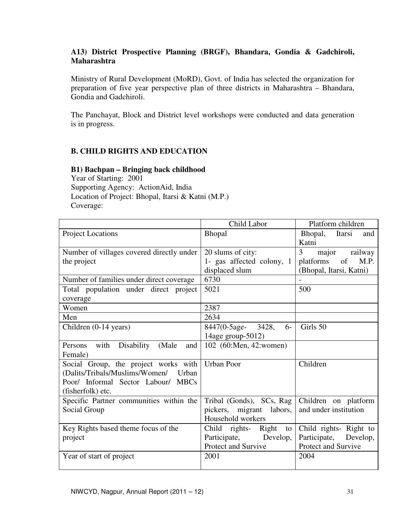# **A13) District Prospective Planning (BRGF), Bhandara, Gondia & Gadchiroli, Maharashtra**

Ministry of Rural Development (MoRD), Govt. of India has selected the organization for preparation of five year perspective plan of three districts in Maharashtra – Bhandara, Gondia and Gadchiroli.

The Panchayat, Block and District level workshops were conducted and data generation is in progress.

# **B. CHILD RIGHTS AND EDUCATION**

#### **B1) Bachpan – Bringing back childhood**

Year of Starting: 2001 Supporting Agency: ActionAid, India Location of Project: Bhopal, Itarsi & Katni (M.P.) Coverage:

|                                               | Child Labor                 | Platform children        |
|-----------------------------------------------|-----------------------------|--------------------------|
| <b>Project Locations</b>                      | <b>Bhopal</b>               | Bhopal,<br>Itarsi<br>and |
|                                               |                             | Katni                    |
| Number of villages covered directly under     | 20 slums of city:           | 3<br>major<br>railway    |
| the project                                   | 1- gas affected colony, 1   | platforms<br>of<br>M.P.  |
|                                               | displaced slum              | (Bhopal, Itarsi, Katni)  |
| Number of families under direct coverage      | 6730                        |                          |
| Total population under direct project         | 5021                        | 500                      |
| coverage                                      |                             |                          |
| Women                                         | 2387                        |                          |
| Men                                           | 2634                        |                          |
| Children (0-14 years)                         | 8447(0-5age- 3428,<br>$6-$  | Girls 50                 |
|                                               | 14age group-5012)           |                          |
| with<br>Disability<br>(Male<br>Persons<br>and | 102 (60:Men, 42:women)      |                          |
| Female)                                       |                             |                          |
| Social Group, the project works with          | <b>Urban Poor</b>           | Children                 |
| (Dalits/Tribals/Muslims/Women/<br>Urban       |                             |                          |
| Poor/ Informal Sector Labour/ MBCs            |                             |                          |
| (fisherfolk) etc.                             |                             |                          |
| Specific Partner communities within the       | Tribal (Gonds), SCs, Rag    | Children on platform     |
| Social Group                                  | pickers, migrant<br>labors, | and under institution    |
|                                               | Household workers           |                          |
| Key Rights based theme focus of the           | Child rights- Right<br>to   | Child rights- Right to   |
| project                                       | Participate, Develop,       | Participate, Develop,    |
|                                               | Protect and Survive         | Protect and Survive      |
| Year of start of project                      | 2001                        | 2004                     |
|                                               |                             |                          |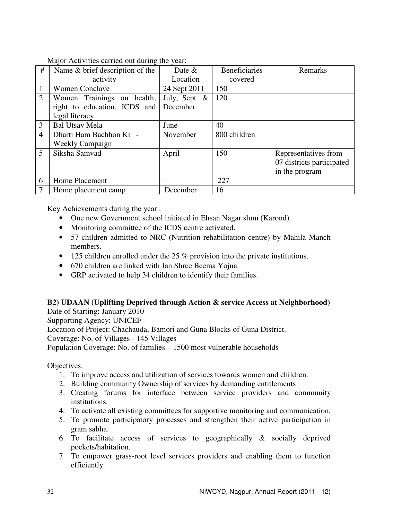Major Activities carried out during the year:

| #              | Name & brief description of the | Date $\&$     | <b>Beneficiaries</b> | Remarks                   |
|----------------|---------------------------------|---------------|----------------------|---------------------------|
|                | activity                        | Location      | covered              |                           |
|                | <b>Women Conclave</b>           | 24 Sept 2011  | 150                  |                           |
| $\overline{2}$ | Women Trainings on health,      | July, Sept. & | 120                  |                           |
|                | right to education, ICDS and    | December      |                      |                           |
|                | legal literacy                  |               |                      |                           |
| 3              | <b>Bal Utsav Mela</b>           | June          | 40                   |                           |
| $\overline{4}$ | Dharti Ham Bachhon Ki -         | November      | 800 children         |                           |
|                | <b>Weekly Campaign</b>          |               |                      |                           |
| 5              | Siksha Samvad                   | April         | 150                  | Representatives from      |
|                |                                 |               |                      | 07 districts participated |
|                |                                 |               |                      | in the program            |
| 6              | <b>Home Placement</b>           |               | 227                  |                           |
|                | Home placement camp             | December      | 16                   |                           |

Key Achievements during the year :

- One new Government school initiated in Ehsan Nagar slum (Karond).
- Monitoring committee of the ICDS centre activated.
- 57 children admitted to NRC (Nutrition rehabilitation centre) by Mahila Manch members.
- 125 children enrolled under the 25 % provision into the private institutions.
- 670 children are linked with Jan Shree Beema Yojna.
- GRP activated to help 34 children to identify their families.

# **B2) UDAAN (Uplifting Deprived through Action & service Access at Neighborhood)**

Date of Starting: January 2010 Supporting Agency: UNICEF Location of Project: Chachauda, Bamori and Guna Blocks of Guna District. Coverage: No. of Villages - 145 Villages Population Coverage: No. of families – 1500 most vulnerable households

Objectives:

- 1. To improve access and utilization of services towards women and children.
- 2. Building community Ownership of services by demanding entitlements
- 3. Creating forums for interface between service providers and community institutions.
- 4. To activate all existing committees for supportive monitoring and communication.
- 5. To promote participatory processes and strengthen their active participation in gram sabha.
- 6. To facilitate access of services to geographically & socially deprived pockets/habitation.
- 7. To empower grass-root level services providers and enabling them to function efficiently.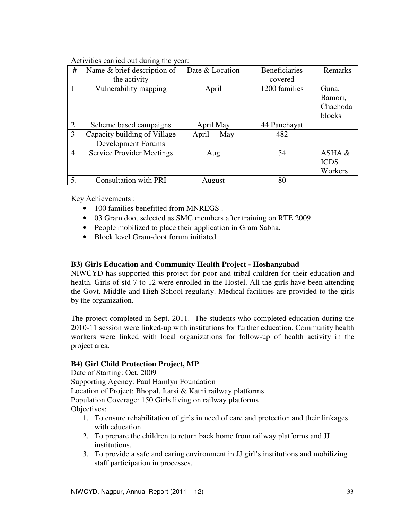Activities carried out during the year:

| #              | Name & brief description of      | Date & Location | <b>Beneficiaries</b> | Remarks     |
|----------------|----------------------------------|-----------------|----------------------|-------------|
|                | the activity                     |                 | covered              |             |
| 1              | Vulnerability mapping            | April           | 1200 families        | Guna,       |
|                |                                  |                 |                      | Bamori,     |
|                |                                  |                 |                      |             |
|                |                                  |                 |                      | blocks      |
| $\overline{2}$ | Scheme based campaigns           | April May       | 44 Panchayat         |             |
| 3              | Capacity building of Village     | April - May     | 482                  |             |
|                | Development Forums               |                 |                      |             |
| 4.             | <b>Service Provider Meetings</b> | Aug             | 54                   | ASHA &      |
|                |                                  |                 |                      | <b>ICDS</b> |
|                |                                  |                 |                      | Workers     |
| 5.             | <b>Consultation with PRI</b>     | August          | 80                   |             |

Key Achievements :

- 100 families benefitted from MNREGS.
- 03 Gram doot selected as SMC members after training on RTE 2009.
- People mobilized to place their application in Gram Sabha.
- Block level Gram-doot forum initiated.

# **B3) Girls Education and Community Health Project - Hoshangabad**

NIWCYD has supported this project for poor and tribal children for their education and health. Girls of std 7 to 12 were enrolled in the Hostel. All the girls have been attending the Govt. Middle and High School regularly. Medical facilities are provided to the girls by the organization.

The project completed in Sept. 2011. The students who completed education during the 2010-11 session were linked-up with institutions for further education. Community health workers were linked with local organizations for follow-up of health activity in the project area.

# **B4) Girl Child Protection Project, MP**

Date of Starting: Oct. 2009 Supporting Agency: Paul Hamlyn Foundation Location of Project: Bhopal, Itarsi & Katni railway platforms Population Coverage: 150 Girls living on railway platforms Objectives:

- 1. To ensure rehabilitation of girls in need of care and protection and their linkages with education.
- 2. To prepare the children to return back home from railway platforms and JJ institutions.
- 3. To provide a safe and caring environment in JJ girl's institutions and mobilizing staff participation in processes.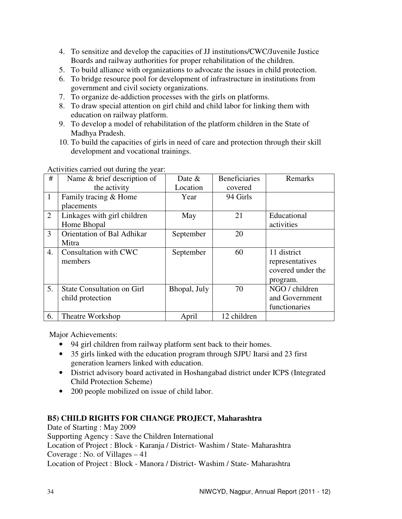- 4. To sensitize and develop the capacities of JJ institutions/CWC/Juvenile Justice Boards and railway authorities for proper rehabilitation of the children.
- 5. To build alliance with organizations to advocate the issues in child protection.
- 6. To bridge resource pool for development of infrastructure in institutions from government and civil society organizations.
- 7. To organize de-addiction processes with the girls on platforms.
- 8. To draw special attention on girl child and child labor for linking them with education on railway platform.
- 9. To develop a model of rehabilitation of the platform children in the State of Madhya Pradesh.
- 10. To build the capacities of girls in need of care and protection through their skill development and vocational trainings.

Activities carried out during the year:

| #            | Name & brief description of       | Date $&$     | <b>Beneficiaries</b> | Remarks           |
|--------------|-----------------------------------|--------------|----------------------|-------------------|
|              | the activity                      | Location     | covered              |                   |
| $\mathbf{1}$ | Family tracing & Home             | Year         | 94 Girls             |                   |
|              | placements                        |              |                      |                   |
| 2            | Linkages with girl children       | May          | 21                   | Educational       |
|              | Home Bhopal                       |              |                      | activities        |
| 3            | <b>Orientation of Bal Adhikar</b> | September    | 20                   |                   |
|              | Mitra                             |              |                      |                   |
| 4.           | Consultation with CWC             | September    | 60                   | 11 district       |
|              | members                           |              |                      | representatives   |
|              |                                   |              |                      | covered under the |
|              |                                   |              |                      | program.          |
| 5.           | <b>State Consultation on Girl</b> | Bhopal, July | 70                   | NGO / children    |
|              | child protection                  |              |                      | and Government    |
|              |                                   |              |                      | functionaries     |
| 6.           | Theatre Workshop                  | April        | 12 children          |                   |

Major Achievements:

- 94 girl children from railway platform sent back to their homes.
- 35 girls linked with the education program through SJPU Itarsi and 23 first generation learners linked with education.
- District advisory board activated in Hoshangabad district under ICPS (Integrated Child Protection Scheme)
- 200 people mobilized on issue of child labor.

# **B5) CHILD RIGHTS FOR CHANGE PROJECT, Maharashtra**

Date of Starting : May 2009 Supporting Agency : Save the Children International Location of Project : Block - Karanja / District- Washim / State- Maharashtra Coverage : No. of Villages – 41 Location of Project : Block - Manora / District- Washim / State- Maharashtra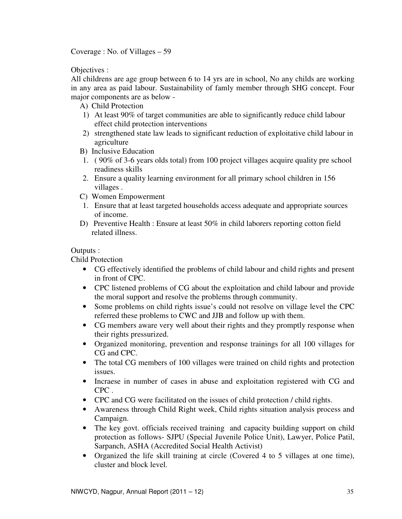Coverage : No. of Villages – 59

Objectives :

All childrens are age group between 6 to 14 yrs are in school, No any childs are working in any area as paid labour. Sustainability of famly member through SHG concept. Four major components are as below -

A) Child Protection

- 1) At least 90% of target communities are able to significantly reduce child labour effect child protection interventions
- 2) strengthened state law leads to significant reduction of exploitative child labour in agriculture
- B) Inclusive Education
- 1. ( 90% of 3-6 years olds total) from 100 project villages acquire quality pre school readiness skills
- 2. Ensure a quality learning environment for all primary school children in 156 villages .
- C) Women Empowerment
- 1. Ensure that at least targeted households access adequate and appropriate sources of income.
- D) Preventive Health : Ensure at least 50% in child laborers reporting cotton field related illness.

#### Outputs :

Child Protection

- CG effectively identified the problems of child labour and child rights and present in front of CPC.
- CPC listened problems of CG about the exploitation and child labour and provide the moral support and resolve the problems through community.
- Some problems on child rights issue's could not resolve on village level the CPC referred these problems to CWC and JJB and follow up with them.
- CG members aware very well about their rights and they promptly response when their rights pressurized.
- Organized monitoring, prevention and response trainings for all 100 villages for CG and CPC.
- The total CG members of 100 villages were trained on child rights and protection issues.
- Incraese in number of cases in abuse and exploitation registered with CG and CPC .
- CPC and CG were facilitated on the issues of child protection / child rights.
- Awareness through Child Right week, Child rights situation analysis process and Campaign.
- The key govt. officials received training and capacity building support on child protection as follows- SJPU (Special Juvenile Police Unit), Lawyer, Police Patil, Sarpanch, ASHA (Accredited Social Health Activist)
- Organized the life skill training at circle (Covered 4 to 5 villages at one time), cluster and block level.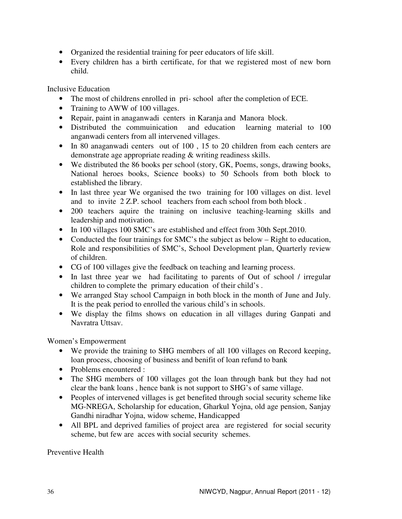- Organized the residential training for peer educators of life skill.
- Every children has a birth certificate, for that we registered most of new born child.

Inclusive Education

- The most of childrens enrolled in pri- school after the completion of ECE.
- Training to AWW of 100 villages.
- Repair, paint in anaganwadi centers in Karanja and Manora block.
- Distributed the commuinication and education learning material to 100 anganwadi centers from all intervened villages.
- In 80 anaganwadi centers out of 100, 15 to 20 children from each centers are demonstrate age appropriate reading & writing readiness skills.
- We distributed the 86 books per school (story, GK, Poems, songs, drawing books, National heroes books, Science books) to 50 Schools from both block to established the library.
- In last three year We organised the two training for 100 villages on dist. level and to invite 2 Z.P. school teachers from each school from both block .
- 200 teachers aquire the training on inclusive teaching-learning skills and leadership and motivation.
- In 100 villages 100 SMC's are established and effect from 30th Sept.2010.
- Conducted the four trainings for SMC's the subject as below Right to education, Role and responsibilities of SMC's, School Development plan, Quarterly review of children.
- CG of 100 villages give the feedback on teaching and learning process.
- In last three year we had facilitating to parents of Out of school / irregular children to complete the primary education of their child's .
- We arranged Stay school Campaign in both block in the month of June and July. It is the peak period to enrolled the various child's in schools.
- We display the films shows on education in all villages during Ganpati and Navratra Uttsav.

Women's Empowerment

- We provide the training to SHG members of all 100 villages on Record keeping, loan process, choosing of business and benifit of loan refund to bank
- Problems encountered :
- The SHG members of 100 villages got the loan through bank but they had not clear the bank loans , hence bank is not support to SHG's of same village.
- Peoples of intervened villages is get benefited through social security scheme like MG-NREGA, Scholarship for education, Gharkul Yojna, old age pension, Sanjay Gandhi niradhar Yojna, widow scheme, Handicapped
- All BPL and deprived families of project area are registered for social security scheme, but few are acces with social security schemes.

Preventive Health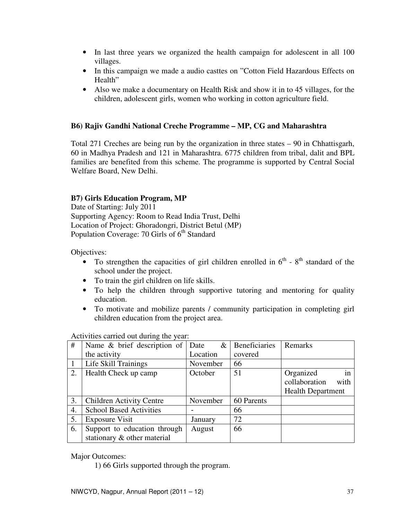- In last three years we organized the health campaign for adolescent in all 100 villages.
- In this campaign we made a audio casttes on "Cotton Field Hazardous Effects on Health"
- Also we make a documentary on Health Risk and show it in to 45 villages, for the children, adolescent girls, women who working in cotton agriculture field.

# **B6) Rajiv Gandhi National Creche Programme – MP, CG and Maharashtra**

Total 271 Creches are being run by the organization in three states – 90 in Chhattisgarh, 60 in Madhya Pradesh and 121 in Maharashtra. 6775 children from tribal, dalit and BPL families are benefited from this scheme. The programme is supported by Central Social Welfare Board, New Delhi.

#### **B7) Girls Education Program, MP**

Date of Starting: July 2011 Supporting Agency: Room to Read India Trust, Delhi Location of Project: Ghoradongri, District Betul (MP) Population Coverage: 70 Girls of  $6<sup>th</sup>$  Standard

Objectives:

- To strengthen the capacities of girl children enrolled in  $6<sup>th</sup>$   $8<sup>th</sup>$  standard of the school under the project.
- To train the girl children on life skills.
- To help the children through supportive tutoring and mentoring for quality education.
- To motivate and mobilize parents / community participation in completing girl children education from the project area.

# Name & brief description of the activity Date & Location Beneficiaries covered Remarks 1 | Life Skill Trainings | November | 66 2. | Health Check up camp  $\vert$  October | 51 | Organized in collaboration with Health Department 3. Children Activity Centre November 60 Parents 4. School Based Activities | - | 66 5. Exposure Visit January 72 6. Support to education through stationary & other material August 66

Activities carried out during the year:

Major Outcomes:

1) 66 Girls supported through the program.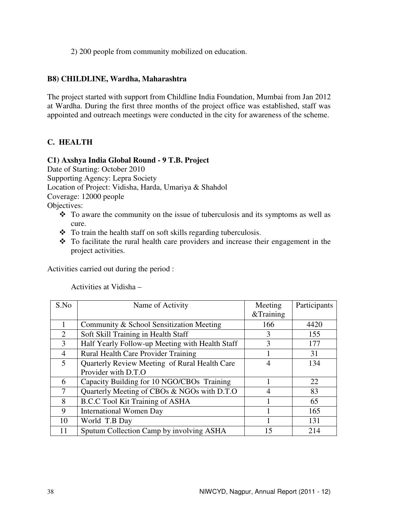2) 200 people from community mobilized on education.

#### **B8) CHILDLINE, Wardha, Maharashtra**

The project started with support from Childline India Foundation, Mumbai from Jan 2012 at Wardha. During the first three months of the project office was established, staff was appointed and outreach meetings were conducted in the city for awareness of the scheme.

# **C. HEALTH**

#### **C1) Axshya India Global Round - 9 T.B. Project**

Date of Starting: October 2010 Supporting Agency: Lepra Society Location of Project: Vidisha, Harda, Umariya & Shahdol Coverage: 12000 people Objectives:

- To aware the community on the issue of tuberculosis and its symptoms as well as cure.
- To train the health staff on soft skills regarding tuberculosis.
- $\div$  To facilitate the rural health care providers and increase their engagement in the project activities.

Activities carried out during the period :

Activities at Vidisha –

| S.No           | Name of Activity                                | Meeting   | Participants |
|----------------|-------------------------------------------------|-----------|--------------|
|                |                                                 | &Training |              |
|                | Community & School Sensitization Meeting        | 166       | 4420         |
| $\overline{2}$ | Soft Skill Training in Health Staff             | 3         | 155          |
| 3              | Half Yearly Follow-up Meeting with Health Staff | 3         | 177          |
| 4              | Rural Health Care Provider Training             |           | 31           |
| 5              | Quarterly Review Meeting of Rural Health Care   | 4         | 134          |
|                | Provider with D.T.O                             |           |              |
| 6              | Capacity Building for 10 NGO/CBOs Training      |           | 22           |
| 7              | Quarterly Meeting of CBOs & NGOs with D.T.O     | 4         | 83           |
| 8              | <b>B.C.C Tool Kit Training of ASHA</b>          |           | 65           |
| 9              | <b>International Women Day</b>                  |           | 165          |
| 10             | World T.B Day                                   |           | 131          |
| 11             | Sputum Collection Camp by involving ASHA        | 15        | 214          |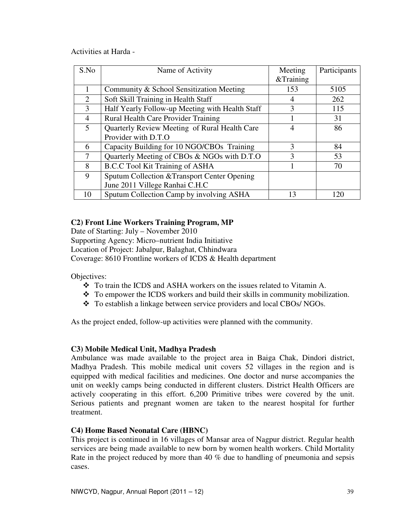Activities at Harda -

| S.No                        | Name of Activity                                | Meeting<br>&Training | Participants |
|-----------------------------|-------------------------------------------------|----------------------|--------------|
|                             | Community & School Sensitization Meeting        | 153                  | 5105         |
| $\mathcal{D}_{\mathcal{L}}$ | Soft Skill Training in Health Staff             |                      | 262          |
| 3                           | Half Yearly Follow-up Meeting with Health Staff | 3                    | 115          |
| 4                           | Rural Health Care Provider Training             |                      | 31           |
| 5                           | Quarterly Review Meeting of Rural Health Care   | 4                    | 86           |
|                             | Provider with D.T.O                             |                      |              |
| 6                           | Capacity Building for 10 NGO/CBOs Training      | $\mathbf{3}$         | 84           |
| 7                           | Quarterly Meeting of CBOs & NGOs with D.T.O     | $\mathcal{F}$        | 53           |
| 8                           | <b>B.C.C Tool Kit Training of ASHA</b>          |                      | 70           |
| 9                           | Sputum Collection & Transport Center Opening    |                      |              |
|                             | June 2011 Villege Ranhai C.H.C                  |                      |              |
| 10                          | Sputum Collection Camp by involving ASHA        | 13                   | 120          |

# **C2) Front Line Workers Training Program, MP**

Date of Starting: July – November 2010

Supporting Agency: Micro–nutrient India Initiative

Location of Project: Jabalpur, Balaghat, Chhindwara

Coverage: 8610 Frontline workers of ICDS & Health department

Objectives:

- $\div$  To train the ICDS and ASHA workers on the issues related to Vitamin A.
- $\div$  To empower the ICDS workers and build their skills in community mobilization.
- To establish a linkage between service providers and local CBOs/ NGOs.

As the project ended, follow-up activities were planned with the community.

# **C3) Mobile Medical Unit, Madhya Pradesh**

Ambulance was made available to the project area in Baiga Chak, Dindori district, Madhya Pradesh. This mobile medical unit covers 52 villages in the region and is equipped with medical facilities and medicines. One doctor and nurse accompanies the unit on weekly camps being conducted in different clusters. District Health Officers are actively cooperating in this effort. 6,200 Primitive tribes were covered by the unit. Serious patients and pregnant women are taken to the nearest hospital for further treatment.

# **C4) Home Based Neonatal Care (HBNC)**

This project is continued in 16 villages of Mansar area of Nagpur district. Regular health services are being made available to new born by women health workers. Child Mortality Rate in the project reduced by more than 40 % due to handling of pneumonia and sepsis cases.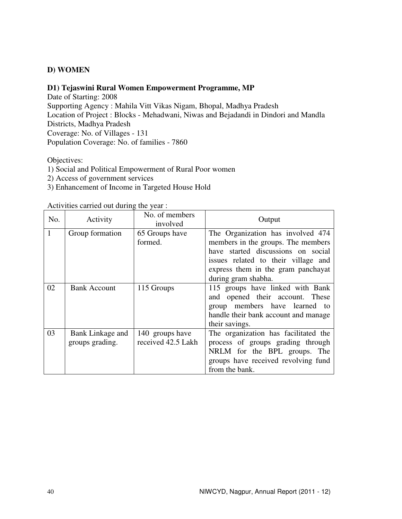# **D) WOMEN**

#### **D1) Tejaswini Rural Women Empowerment Programme, MP**

Date of Starting: 2008 Supporting Agency : Mahila Vitt Vikas Nigam, Bhopal, Madhya Pradesh Location of Project : Blocks - Mehadwani, Niwas and Bejadandi in Dindori and Mandla Districts, Madhya Pradesh Coverage: No. of Villages - 131 Population Coverage: No. of families - 7860

Objectives:

- 1) Social and Political Empowerment of Rural Poor women
- 2) Access of government services
- 3) Enhancement of Income in Targeted House Hold

Activities carried out during the year :

| No. | Activity                            | No. of members<br>involved            | Output                                                                                                                                                                                                            |
|-----|-------------------------------------|---------------------------------------|-------------------------------------------------------------------------------------------------------------------------------------------------------------------------------------------------------------------|
|     | Group formation                     | 65 Groups have<br>formed.             | The Organization has involved 474<br>members in the groups. The members<br>have started discussions on social<br>issues related to their village and<br>express them in the gram panchayat<br>during gram shabha. |
| 02  | <b>Bank Account</b>                 | 115 Groups                            | 115 groups have linked with Bank<br>and opened their account. These<br>group members have learned to<br>handle their bank account and manage<br>their savings.                                                    |
| 03  | Bank Linkage and<br>groups grading. | 140 groups have<br>received 42.5 Lakh | The organization has facilitated the<br>process of groups grading through<br>NRLM for the BPL groups. The<br>groups have received revolving fund<br>from the bank.                                                |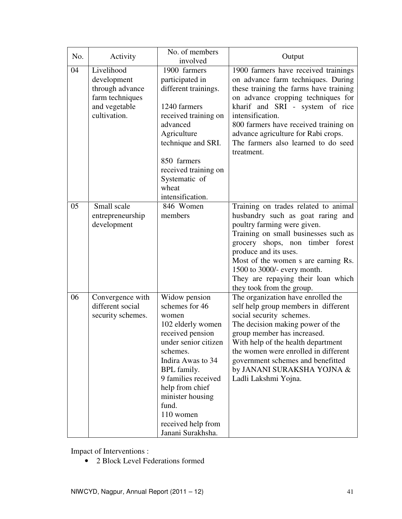| No. | Activity                                                                                         | No. of members<br>involved                                                                                                                                                                                                                                                               | Output                                                                                                                                                                                                                                                                                                                                                 |
|-----|--------------------------------------------------------------------------------------------------|------------------------------------------------------------------------------------------------------------------------------------------------------------------------------------------------------------------------------------------------------------------------------------------|--------------------------------------------------------------------------------------------------------------------------------------------------------------------------------------------------------------------------------------------------------------------------------------------------------------------------------------------------------|
| 04  | Livelihood<br>development<br>through advance<br>farm techniques<br>and vegetable<br>cultivation. | 1900 farmers<br>participated in<br>different trainings.<br>1240 farmers<br>received training on<br>advanced<br>Agriculture<br>technique and SRI.<br>850 farmers<br>received training on<br>Systematic of<br>wheat<br>intensification.                                                    | 1900 farmers have received trainings<br>on advance farm techniques. During<br>these training the farms have training<br>on advance cropping techniques for<br>kharif and SRI - system of rice<br>intensification.<br>800 farmers have received training on<br>advance agriculture for Rabi crops.<br>The farmers also learned to do seed<br>treatment. |
| 05  | Small scale<br>entrepreneurship<br>development                                                   | 846 Women<br>members                                                                                                                                                                                                                                                                     | Training on trades related to animal<br>husbandry such as goat raring and<br>poultry farming were given.<br>Training on small businesses such as<br>grocery shops, non timber forest<br>produce and its uses.<br>Most of the women s are earning Rs.<br>1500 to 3000/- every month.<br>They are repaying their loan which<br>they took from the group. |
| 06  | Convergence with<br>different social<br>security schemes.                                        | Widow pension<br>schemes for 46<br>women<br>102 elderly women<br>received pension<br>under senior citizen<br>schemes.<br>Indira Awas to 34<br>BPL family.<br>9 families received<br>help from chief<br>minister housing<br>fund.<br>110 women<br>received help from<br>Janani Surakhsha. | The organization have enrolled the<br>self help group members in different<br>social security schemes.<br>The decision making power of the<br>group member has increased.<br>With help of the health department<br>the women were enrolled in different<br>government schemes and benefitted<br>by JANANI SURAKSHA YOJNA &<br>Ladli Lakshmi Yojna.     |

Impact of Interventions :

• 2 Block Level Federations formed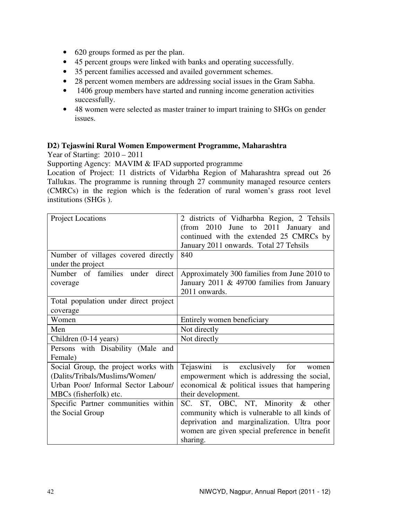- 620 groups formed as per the plan.
- 45 percent groups were linked with banks and operating successfully.
- 35 percent families accessed and availed government schemes.
- 28 percent women members are addressing social issues in the Gram Sabha.
- 1406 group members have started and running income generation activities successfully.
- 48 women were selected as master trainer to impart training to SHGs on gender issues.

#### **D2) Tejaswini Rural Women Empowerment Programme, Maharashtra**

Year of Starting: 2010 – 2011

Supporting Agency: MAVIM & IFAD supported programme

Location of Project: 11 districts of Vidarbha Region of Maharashtra spread out 26 Tallukas. The programme is running through 27 community managed resource centers (CMRCs) in the region which is the federation of rural women's grass root level institutions (SHGs ).

| <b>Project Locations</b>              | 2 districts of Vidharbha Region, 2 Tehsils    |
|---------------------------------------|-----------------------------------------------|
|                                       | (from 2010 June to 2011 January)<br>and       |
|                                       | continued with the extended 25 CMRCs by       |
|                                       | January 2011 onwards. Total 27 Tehsils        |
| Number of villages covered directly   | 840                                           |
| under the project                     |                                               |
| Number of families under<br>direct    | Approximately 300 families from June 2010 to  |
| coverage                              | January 2011 & 49700 families from January    |
|                                       | 2011 onwards.                                 |
| Total population under direct project |                                               |
| coverage                              |                                               |
| Women                                 | Entirely women beneficiary                    |
| Men                                   | Not directly                                  |
| Children (0-14 years)                 | Not directly                                  |
| Persons with Disability (Male and     |                                               |
| Female)                               |                                               |
| Social Group, the project works with  | Tejaswini is exclusively for<br>women         |
| (Dalits/Tribals/Muslims/Women/        | empowerment which is addressing the social,   |
| Urban Poor/ Informal Sector Labour/   | economical & political issues that hampering  |
| MBCs (fisherfolk) etc.                | their development.                            |
| Specific Partner communities within   | SC. ST, OBC, NT, Minority & other             |
| the Social Group                      | community which is vulnerable to all kinds of |
|                                       | deprivation and marginalization. Ultra poor   |
|                                       | women are given special preference in benefit |
|                                       | sharing.                                      |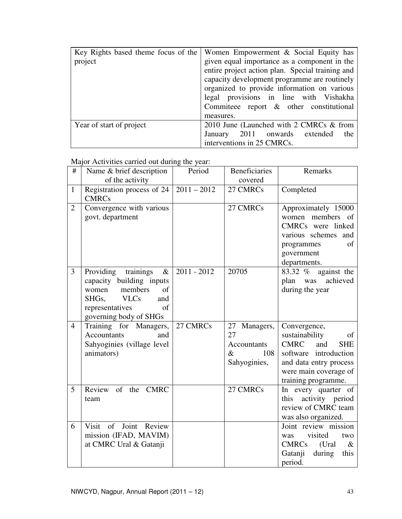| Key Rights based theme focus of the | Women Empowerment & Social Equity has            |
|-------------------------------------|--------------------------------------------------|
| project                             | given equal importance as a component in the     |
|                                     | entire project action plan. Special training and |
|                                     | capacity development programme are routinely     |
|                                     | organized to provide information on various      |
|                                     | legal provisions in line with Vishakha           |
|                                     | Commiteee report $\&$ other constitutional       |
|                                     | measures.                                        |
| Year of start of project            | 2010 June (Launched with 2 CMRCs & from          |
|                                     | January 2011 onwards extended<br>the             |
|                                     | interventions in 25 CMRCs.                       |

Major Activities carried out during the year:

| #              | Name & brief description                                                                                                                                                       | Period        | <b>Beneficiaries</b>                                                    | Remarks                                                                                                                                                                     |
|----------------|--------------------------------------------------------------------------------------------------------------------------------------------------------------------------------|---------------|-------------------------------------------------------------------------|-----------------------------------------------------------------------------------------------------------------------------------------------------------------------------|
| $\mathbf{1}$   | of the activity<br>Registration process of 24<br><b>CMRCs</b>                                                                                                                  | $2011 - 2012$ | covered<br>27 CMRCs                                                     | Completed                                                                                                                                                                   |
| $\overline{2}$ | Convergence with various<br>govt. department                                                                                                                                   |               | 27 CMRCs                                                                | Approximately 15000<br>women members of<br>CMRCs were linked<br>various schemes and<br>of<br>programmes<br>government<br>departments.                                       |
| 3              | trainings<br>Providing<br>$\&$<br>capacity building inputs<br>members<br>women<br>$\sigma$ f<br><b>VLCs</b><br>SHGs.<br>and<br>representatives<br>of<br>governing body of SHGs | $2011 - 2012$ | 20705                                                                   | against the<br>83.32 %<br>achieved<br>plan was<br>during the year                                                                                                           |
| $\overline{4}$ | Training for Managers,<br><b>Accountants</b><br>and<br>Sahyoginies (village level<br>animators)                                                                                | 27 CMRCs      | 27 Managers,<br>27<br><b>Accountants</b><br>$\&$<br>108<br>Sahyoginies, | Convergence,<br>sustainability<br>of<br><b>CMRC</b><br>and<br><b>SHE</b><br>software introduction<br>and data entry process<br>were main coverage of<br>training programme. |
| 5              | Review of the CMRC<br>team                                                                                                                                                     |               | 27 CMRCs                                                                | In every quarter of<br>activity period<br>this<br>review of CMRC team<br>was also organized.                                                                                |
| 6              | Visit of Joint Review<br>mission (IFAD, MAVIM)<br>at CMRC Ural & Gatanji                                                                                                       |               |                                                                         | Joint review mission<br>visited<br>two<br>was<br>CMRCs<br>(Ural)<br>$\&$<br>during<br>Gatanji<br>this<br>period.                                                            |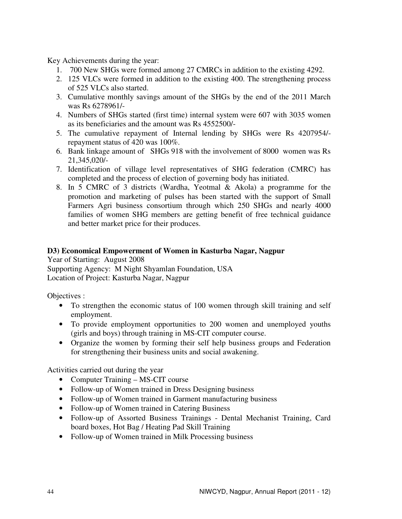Key Achievements during the year:

- 1. 700 New SHGs were formed among 27 CMRCs in addition to the existing 4292.
- 2. 125 VLCs were formed in addition to the existing 400. The strengthening process of 525 VLCs also started.
- 3. Cumulative monthly savings amount of the SHGs by the end of the 2011 March was Rs 6278961/-
- 4. Numbers of SHGs started (first time) internal system were 607 with 3035 women as its beneficiaries and the amount was Rs 4552500/-
- 5. The cumulative repayment of Internal lending by SHGs were Rs 4207954/ repayment status of 420 was 100%.
- 6. Bank linkage amount of SHGs 918 with the involvement of 8000 women was Rs 21,345,020/-
- 7. Identification of village level representatives of SHG federation (CMRC) has completed and the process of election of governing body has initiated.
- 8. In 5 CMRC of 3 districts (Wardha, Yeotmal & Akola) a programme for the promotion and marketing of pulses has been started with the support of Small Farmers Agri business consortium through which 250 SHGs and nearly 4000 families of women SHG members are getting benefit of free technical guidance and better market price for their produces.

#### **D3) Economical Empowerment of Women in Kasturba Nagar, Nagpur**

Year of Starting: August 2008 Supporting Agency: M Night Shyamlan Foundation, USA Location of Project: Kasturba Nagar, Nagpur

Objectives :

- To strengthen the economic status of 100 women through skill training and self employment.
- To provide employment opportunities to 200 women and unemployed youths (girls and boys) through training in MS-CIT computer course.
- Organize the women by forming their self help business groups and Federation for strengthening their business units and social awakening.

Activities carried out during the year

- Computer Training MS-CIT course
- Follow-up of Women trained in Dress Designing business
- Follow-up of Women trained in Garment manufacturing business
- Follow-up of Women trained in Catering Business
- Follow-up of Assorted Business Trainings Dental Mechanist Training, Card board boxes, Hot Bag / Heating Pad Skill Training
- Follow-up of Women trained in Milk Processing business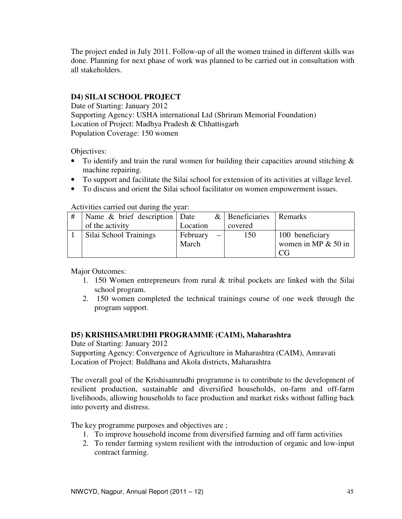The project ended in July 2011. Follow-up of all the women trained in different skills was done. Planning for next phase of work was planned to be carried out in consultation with all stakeholders.

# **D4) SILAI SCHOOL PROJECT**

Date of Starting: January 2012 Supporting Agency: USHA international Ltd (Shriram Memorial Foundation) Location of Project: Madhya Pradesh & Chhattisgarh Population Coverage: 150 women

Objectives:

- To identify and train the rural women for building their capacities around stitching  $\&$ machine repairing.
- To support and facilitate the Silai school for extension of its activities at village level.
- To discuss and orient the Silai school facilitator on women empowerment issues.

Activities carried out during the year:

| Name & brief description   Date |          | $\&$ Beneficiaries | I Remarks             |
|---------------------------------|----------|--------------------|-----------------------|
| of the activity                 | Location | covered            |                       |
| Silai School Trainings          | February | 150                | 100 beneficiary       |
|                                 | March    |                    | women in MP $& 50$ in |
|                                 |          |                    | CG                    |

Major Outcomes:

- 1. 150 Women entrepreneurs from rural & tribal pockets are linked with the Silai school program.
- 2. 150 women completed the technical trainings course of one week through the program support.

# **D5) KRISHISAMRUDHI PROGRAMME (CAIM), Maharashtra**

Date of Starting: January 2012 Supporting Agency: Convergence of Agriculture in Maharashtra (CAIM), Amravati Location of Project: Buldhana and Akola districts, Maharashtra

The overall goal of the Krishisamrudhi programme is to contribute to the development of resilient production, sustainable and diversified households, on-farm and off-farm livelihoods, allowing households to face production and market risks without falling back into poverty and distress.

The key programme purposes and objectives are ;

- 1. To improve household income from diversified farming and off farm activities
- 2. To render farming system resilient with the introduction of organic and low-input contract farming.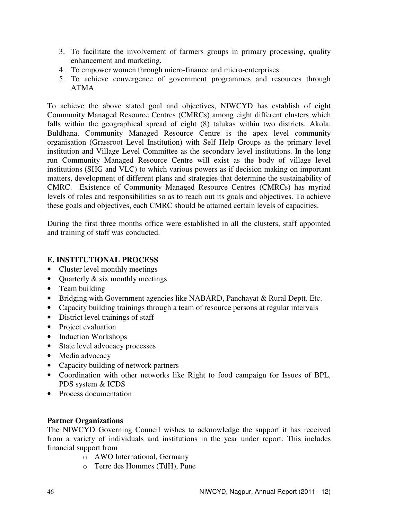- 3. To facilitate the involvement of farmers groups in primary processing, quality enhancement and marketing.
- 4. To empower women through micro-finance and micro-enterprises.
- 5. To achieve convergence of government programmes and resources through ATMA.

To achieve the above stated goal and objectives, NIWCYD has establish of eight Community Managed Resource Centres (CMRCs) among eight different clusters which falls within the geographical spread of eight (8) talukas within two districts, Akola, Buldhana. Community Managed Resource Centre is the apex level community organisation (Grassroot Level Institution) with Self Help Groups as the primary level institution and Village Level Committee as the secondary level institutions. In the long run Community Managed Resource Centre will exist as the body of village level institutions (SHG and VLC) to which various powers as if decision making on important matters, development of different plans and strategies that determine the sustainability of CMRC. Existence of Community Managed Resource Centres (CMRCs) has myriad levels of roles and responsibilities so as to reach out its goals and objectives. To achieve these goals and objectives, each CMRC should be attained certain levels of capacities.

During the first three months office were established in all the clusters, staff appointed and training of staff was conducted.

#### **E. INSTITUTIONAL PROCESS**

- Cluster level monthly meetings
- Quarterly & six monthly meetings
- Team building
- Bridging with Government agencies like NABARD, Panchayat & Rural Deptt. Etc.
- Capacity building trainings through a team of resource persons at regular intervals
- District level trainings of staff
- Project evaluation
- Induction Workshops
- State level advocacy processes
- Media advocacy
- Capacity building of network partners
- Coordination with other networks like Right to food campaign for Issues of BPL, PDS system & ICDS
- Process documentation

#### **Partner Organizations**

The NIWCYD Governing Council wishes to acknowledge the support it has received from a variety of individuals and institutions in the year under report. This includes financial support from

- o AWO International, Germany
- o Terre des Hommes (TdH), Pune